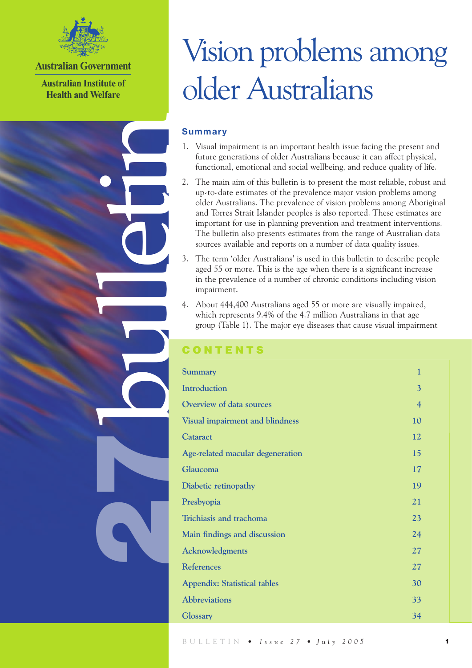

**Australian Government** 

**Australian Institute of Health and Welfare** 

bulletin

27

# Vision problems among older Australians

## **Summary**

- 1. Visual impairment is an important health issue facing the present and future generations of older Australians because it can affect physical, functional, emotional and social wellbeing, and reduce quality of life.
- 2. The main aim of this bulletin is to present the most reliable, robust and up-to-date estimates of the prevalence major vision problems among older Australians. The prevalence of vision problems among Aboriginal and Torres Strait Islander peoples is also reported. These estimates are important for use in planning prevention and treatment interventions. The bulletin also presents estimates from the range of Australian data sources available and reports on a number of data quality issues.
- 3. The term 'older Australians' is used in this bulletin to describe people aged 55 or more. This is the age when there is a significant increase in the prevalence of a number of chronic conditions including vision impairment.
- 4. About 444,400 Australians aged 55 or more are visually impaired, which represents 9.4% of the 4.7 million Australians in that age group (Table 1). The major eye diseases that cause visual impairment

## **ONTENTS**

| <b>Summary</b>                         | 1              |
|----------------------------------------|----------------|
| <b>Introduction</b>                    | 3              |
| Overview of data sources               | $\overline{4}$ |
| <b>Visual impairment and blindness</b> | 10             |
| Cataract                               | 12             |
| Age-related macular degeneration       | 15             |
| Glaucoma                               | 17             |
| Diabetic retinopathy                   | 19             |
| Presbyopia                             | 21             |
| Trichiasis and trachoma                | 23             |
| Main findings and discussion           | 24             |
| Acknowledgments                        | 27             |
| <b>References</b>                      | 27             |
| <b>Appendix: Statistical tables</b>    | 30             |
| <b>Abbreviations</b>                   | 33             |
| <b>Glossary</b>                        | 34             |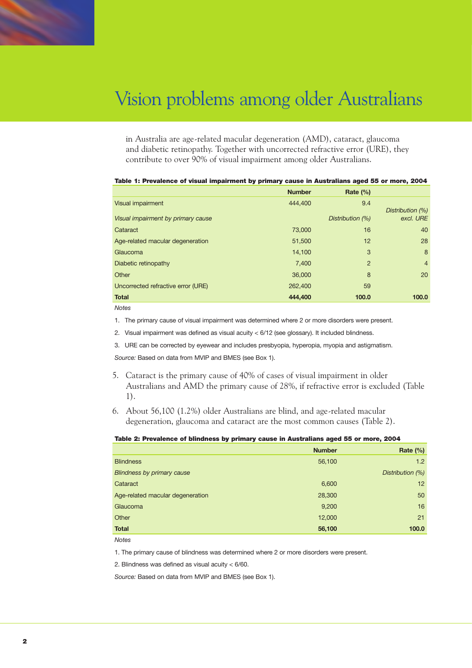in Australia are age-related macular degeneration (AMD), cataract, glaucoma and diabetic retinopathy. Together with uncorrected refractive error (URE), they contribute to over 90% of visual impairment among older Australians.

|                                    | <b>Number</b> | Rate $(\%)$      |                               |
|------------------------------------|---------------|------------------|-------------------------------|
| Visual impairment                  | 444,400       | 9.4              |                               |
| Visual impairment by primary cause |               | Distribution (%) | Distribution (%)<br>excl. URE |
| Cataract                           | 73,000        | 16               | 40                            |
| Age-related macular degeneration   | 51,500        | 12               | 28                            |
| Glaucoma                           | 14,100        | 3                | 8                             |
| Diabetic retinopathy               | 7,400         | $\overline{2}$   | $\overline{4}$                |
| Other                              | 36,000        | 8                | 20                            |
| Uncorrected refractive error (URE) | 262,400       | 59               |                               |
| <b>Total</b>                       | 444,400       | 100.0            | 100.0                         |

## Table 1: Prevalence of visual impairment by primary cause in Australians aged 55 or more, 2004

*Notes*

1. The primary cause of visual impairment was determined where 2 or more disorders were present.

2. Visual impairment was defined as visual acuity < 6/12 (see glossary). It included blindness.

3. URE can be corrected by eyewear and includes presbyopia, hyperopia, myopia and astigmatism.

*Source:* Based on data from MVIP and BMES (see Box 1).

- 5. Cataract is the primary cause of 40% of cases of visual impairment in older Australians and AMD the primary cause of 28%, if refractive error is excluded (Table 1).
- 6. About 56,100 (1.2%) older Australians are blind, and age-related macular degeneration, glaucoma and cataract are the most common causes (Table 2).

#### Table 2: Prevalence of blindness by primary cause in Australians aged 55 or more, 2004

|                                  | <b>Number</b> | Rate $(\%)$      |
|----------------------------------|---------------|------------------|
| <b>Blindness</b>                 | 56,100        | 1.2              |
| Blindness by primary cause       |               | Distribution (%) |
| Cataract                         | 6,600         | 12               |
| Age-related macular degeneration | 28,300        | 50               |
| Glaucoma                         | 9,200         | 16               |
| Other                            | 12,000        | 21               |
| <b>Total</b>                     | 56,100        | 100.0            |

*Notes*

1. The primary cause of blindness was determined where 2 or more disorders were present.

2. Blindness was defined as visual acuity < 6/60.

*Source:* Based on data from MVIP and BMES (see Box 1).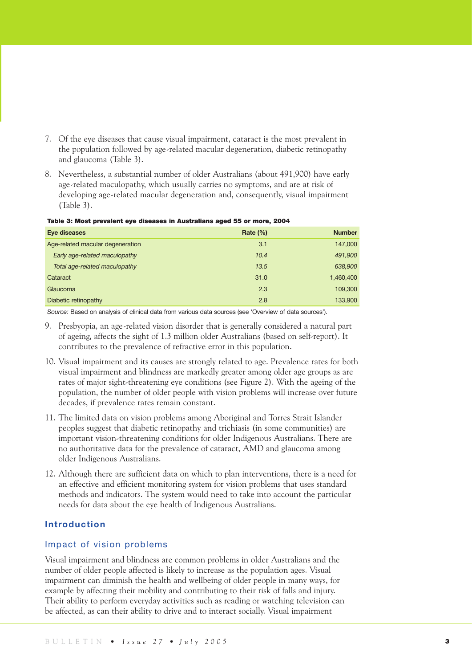- 7. Of the eye diseases that cause visual impairment, cataract is the most prevalent in the population followed by age-related macular degeneration, diabetic retinopathy and glaucoma (Table 3).
- 8. Nevertheless, a substantial number of older Australians (about 491,900) have early age-related maculopathy, which usually carries no symptoms, and are at risk of developing age-related macular degeneration and, consequently, visual impairment (Table 3).

| Table 3: Most prevalent eye diseases in Australians aged 55 or more, 2004 |  |
|---------------------------------------------------------------------------|--|
|                                                                           |  |

| Eye diseases                     | Rate $(\% )$ | <b>Number</b> |
|----------------------------------|--------------|---------------|
| Age-related macular degeneration | 3.1          | 147,000       |
| Early age-related maculopathy    | 10.4         | 491,900       |
| Total age-related maculopathy    | 13.5         | 638,900       |
| Cataract                         | 31.0         | 1,460,400     |
| Glaucoma                         | 2.3          | 109,300       |
| Diabetic retinopathy             | 2.8          | 133,900       |

*Source:* Based on analysis of clinical data from various data sources (see 'Overview of data sources').

- 9. Presbyopia, an age-related vision disorder that is generally considered a natural part of ageing, affects the sight of 1.3 million older Australians (based on self-report). It contributes to the prevalence of refractive error in this population.
- 10. Visual impairment and its causes are strongly related to age. Prevalence rates for both visual impairment and blindness are markedly greater among older age groups as are rates of major sight-threatening eye conditions (see Figure 2). With the ageing of the population, the number of older people with vision problems will increase over future decades, if prevalence rates remain constant.
- 11. The limited data on vision problems among Aboriginal and Torres Strait Islander peoples suggest that diabetic retinopathy and trichiasis (in some communities) are important vision-threatening conditions for older Indigenous Australians. There are no authoritative data for the prevalence of cataract, AMD and glaucoma among older Indigenous Australians.
- 12. Although there are sufficient data on which to plan interventions, there is a need for an effective and efficient monitoring system for vision problems that uses standard methods and indicators. The system would need to take into account the particular needs for data about the eye health of Indigenous Australians.

## **Introduction**

## Impact of vision problems

Visual impairment and blindness are common problems in older Australians and the number of older people affected is likely to increase as the population ages. Visual impairment can diminish the health and wellbeing of older people in many ways, for example by affecting their mobility and contributing to their risk of falls and injury. Their ability to perform everyday activities such as reading or watching television can be affected, as can their ability to drive and to interact socially. Visual impairment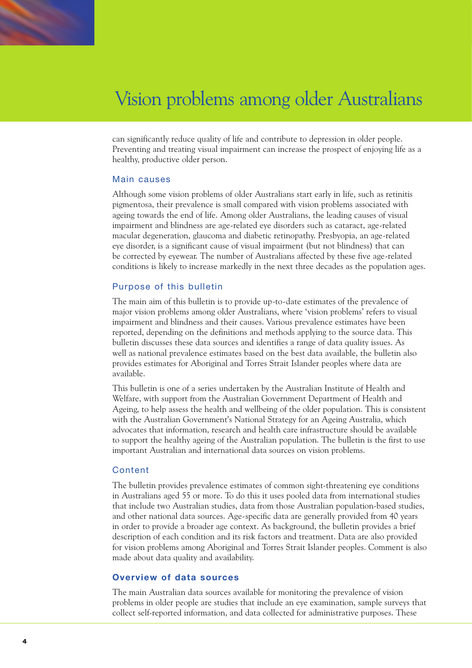can significantly reduce quality of life and contribute to depression in older people. Preventing and treating visual impairment can increase the prospect of enjoying life as a healthy, productive older person.

## Main causes

Although some vision problems of older Australians start early in life, such as retinitis pigmentosa, their prevalence is small compared with vision problems associated with ageing towards the end of life. Among older Australians, the leading causes of visual impairment and blindness are age-related eye disorders such as cataract, age-related macular degeneration, glaucoma and diabetic retinopathy. Presbyopia, an age-related eye disorder, is a significant cause of visual impairment (but not blindness) that can be corrected by eyewear. The number of Australians affected by these five age-related conditions is likely to increase markedly in the next three decades as the population ages.

## Purpose of this bulletin

The main aim of this bulletin is to provide up-to-date estimates of the prevalence of major vision problems among older Australians, where 'vision problems' refers to visual impairment and blindness and their causes. Various prevalence estimates have been reported, depending on the definitions and methods applying to the source data. This bulletin discusses these data sources and identifies a range of data quality issues. As well as national prevalence estimates based on the best data available, the bulletin also provides estimates for Aboriginal and Torres Strait Islander peoples where data are available.

This bulletin is one of a series undertaken by the Australian Institute of Health and Welfare, with support from the Australian Government Department of Health and Ageing, to help assess the health and wellbeing of the older population. This is consistent with the Australian Government's National Strategy for an Ageing Australia, which advocates that information, research and health care infrastructure should be available to support the healthy ageing of the Australian population. The bulletin is the first to use important Australian and international data sources on vision problems.

## Content

The bulletin provides prevalence estimates of common sight-threatening eye conditions in Australians aged 55 or more. To do this it uses pooled data from international studies that include two Australian studies, data from those Australian population-based studies, and other national data sources. Age-specific data are generally provided from 40 years in order to provide a broader age context. As background, the bulletin provides a brief description of each condition and its risk factors and treatment. Data are also provided for vision problems among Aboriginal and Torres Strait Islander peoples. Comment is also made about data quality and availability.

## **Overview of data sources**

The main Australian data sources available for monitoring the prevalence of vision problems in older people are studies that include an eye examination, sample surveys that collect self-reported information, and data collected for administrative purposes. These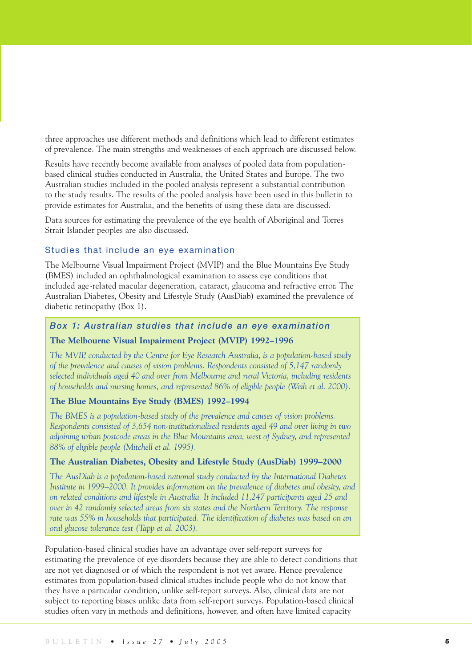three approaches use different methods and definitions which lead to different estimates of prevalence. The main strengths and weaknesses of each approach are discussed below.

Results have recently become available from analyses of pooled data from populationbased clinical studies conducted in Australia, the United States and Europe. The two Australian studies included in the pooled analysis represent a substantial contribution to the study results. The results of the pooled analysis have been used in this bulletin to provide estimates for Australia, and the benefits of using these data are discussed.

Data sources for estimating the prevalence of the eye health of Aboriginal and Torres Strait Islander peoples are also discussed.

## Studies that include an eye examination

The Melbourne Visual Impairment Project (MVIP) and the Blue Mountains Eye Study (BMES) included an ophthalmological examination to assess eye conditions that included age-related macular degeneration, cataract, glaucoma and refractive error. The Australian Diabetes, Obesity and Lifestyle Study (AusDiab) examined the prevalence of diabetic retinopathy (Box 1).

## *Box 1: Australian studies that include an eye examination*

## **The Melbourne Visual Impairment Project (MVIP) 1992–1996**

*The MVIP, conducted by the Centre for Eye Research Australia, is a population-based study of the prevalence and causes of vision problems. Respondents consisted of 5,147 randomly selected individuals aged 40 and over from Melbourne and rural Victoria, including residents of households and nursing homes, and represented 86% of eligible people (Weih et al. 2000).* 

## **The Blue Mountains Eye Study (BMES) 1992–1994**

*The BMES is a population-based study of the prevalence and causes of vision problems. Respondents consisted of 3,654 non-institutionalised residents aged 49 and over living in two adjoining urban postcode areas in the Blue Mountains area, west of Sydney, and represented 88% of eligible people (Mitchell et al. 1995).*

## **The Australian Diabetes, Obesity and Lifestyle Study (AusDiab) 1999–2000**

*The AusDiab is a population-based national study conducted by the International Diabetes Institute in 1999–2000. It provides information on the prevalence of diabetes and obesity, and on related conditions and lifestyle in Australia. It included 11,247 participants aged 25 and over in 42 randomly selected areas from six states and the Northern Territory. The response rate was 55% in households that participated. The identification of diabetes was based on an oral glucose tolerance test (Tapp et al. 2003).*

Population-based clinical studies have an advantage over self-report surveys for estimating the prevalence of eye disorders because they are able to detect conditions that are not yet diagnosed or of which the respondent is not yet aware. Hence prevalence estimates from population-based clinical studies include people who do not know that they have a particular condition, unlike self-report surveys. Also, clinical data are not subject to reporting biases unlike data from self-report surveys. Population-based clinical studies often vary in methods and definitions, however, and often have limited capacity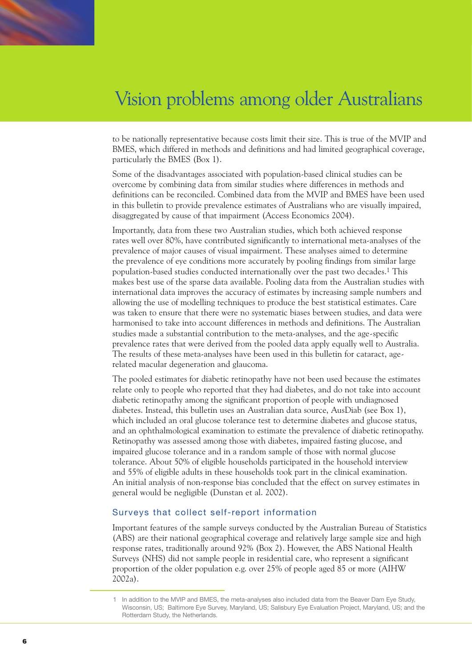to be nationally representative because costs limit their size. This is true of the MVIP and BMES, which differed in methods and definitions and had limited geographical coverage, particularly the BMES (Box 1).

Some of the disadvantages associated with population-based clinical studies can be overcome by combining data from similar studies where differences in methods and definitions can be reconciled. Combined data from the MVIP and BMES have been used in this bulletin to provide prevalence estimates of Australians who are visually impaired, disaggregated by cause of that impairment (Access Economics 2004).

Importantly, data from these two Australian studies, which both achieved response rates well over 80%, have contributed significantly to international meta-analyses of the prevalence of major causes of visual impairment. These analyses aimed to determine the prevalence of eye conditions more accurately by pooling findings from similar large population-based studies conducted internationally over the past two decades.1 This makes best use of the sparse data available. Pooling data from the Australian studies with international data improves the accuracy of estimates by increasing sample numbers and allowing the use of modelling techniques to produce the best statistical estimates. Care was taken to ensure that there were no systematic biases between studies, and data were harmonised to take into account differences in methods and definitions. The Australian studies made a substantial contribution to the meta-analyses, and the age-specific prevalence rates that were derived from the pooled data apply equally well to Australia. The results of these meta-analyses have been used in this bulletin for cataract, agerelated macular degeneration and glaucoma.

The pooled estimates for diabetic retinopathy have not been used because the estimates relate only to people who reported that they had diabetes, and do not take into account diabetic retinopathy among the significant proportion of people with undiagnosed diabetes. Instead, this bulletin uses an Australian data source, AusDiab (see Box 1), which included an oral glucose tolerance test to determine diabetes and glucose status, and an ophthalmological examination to estimate the prevalence of diabetic retinopathy. Retinopathy was assessed among those with diabetes, impaired fasting glucose, and impaired glucose tolerance and in a random sample of those with normal glucose tolerance. About 50% of eligible households participated in the household interview and 55% of eligible adults in these households took part in the clinical examination. An initial analysis of non-response bias concluded that the effect on survey estimates in general would be negligible (Dunstan et al. 2002).

## Surveys that collect self-report information

Important features of the sample surveys conducted by the Australian Bureau of Statistics (ABS) are their national geographical coverage and relatively large sample size and high response rates, traditionally around 92% (Box 2). However, the ABS National Health Surveys (NHS) did not sample people in residential care, who represent a significant proportion of the older population e.g. over 25% of people aged 85 or more (AIHW 2002a).

<sup>1</sup> In addition to the MVIP and BMES, the meta-analyses also included data from the Beaver Dam Eye Study, Wisconsin, US; Baltimore Eye Survey, Maryland, US; Salisbury Eye Evaluation Project, Maryland, US; and the Rotterdam Study, the Netherlands.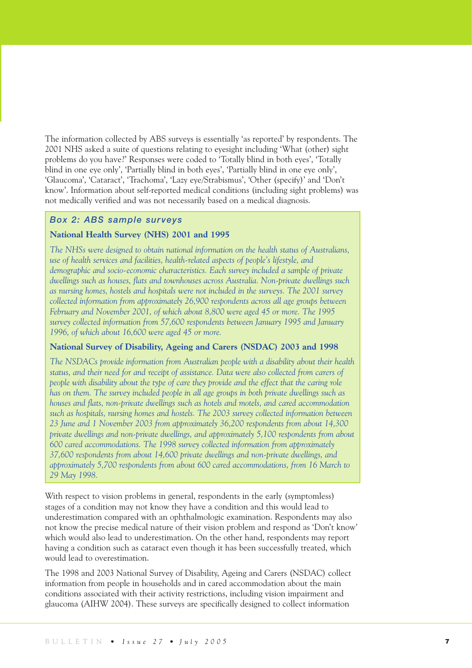The information collected by ABS surveys is essentially 'as reported' by respondents. The 2001 NHS asked a suite of questions relating to eyesight including 'What (other) sight problems do you have?' Responses were coded to 'Totally blind in both eyes', 'Totally blind in one eye only', 'Partially blind in both eyes', 'Partially blind in one eye only', 'Glaucoma', 'Cataract', 'Trachoma', 'Lazy eye/Strabismus', 'Other (specify)' and 'Don't know'. Information about self-reported medical conditions (including sight problems) was not medically verified and was not necessarily based on a medical diagnosis.

## *Box 2: ABS sample surveys*

## **National Health Survey (NHS) 2001 and 1995**

*The NHSs were designed to obtain national information on the health status of Australians, use of health services and facilities, health-related aspects of people's lifestyle, and demographic and socio-economic characteristics. Each survey included a sample of private dwellings such as houses, flats and townhouses across Australia. Non-private dwellings such as nursing homes, hostels and hospitals were not included in the surveys. The 2001 survey collected information from approximately 26,900 respondents across all age groups between February and November 2001, of which about 8,800 were aged 45 or more. The 1995 survey collected information from 57,600 respondents between January 1995 and January 1996, of which about 16,600 were aged 45 or more.*

## **National Survey of Disability, Ageing and Carers (NSDAC) 2003 and 1998**

*The NSDACs provide information from Australian people with a disability about their health status, and their need for and receipt of assistance. Data were also collected from carers of people with disability about the type of care they provide and the effect that the caring role has on them. The survey included people in all age groups in both private dwellings such as houses and flats, non-private dwellings such as hotels and motels, and cared accommodation such as hospitals, nursing homes and hostels. The 2003 survey collected information between 23 June and 1 November 2003 from approximately 36,200 respondents from about 14,300 private dwellings and non-private dwellings, and approximately 5,100 respondents from about 600 cared accommodations. The 1998 survey collected information from approximately 37,600 respondents from about 14,600 private dwellings and non-private dwellings, and approximately 5,700 respondents from about 600 cared accommodations, from 16 March to 29 May 1998.*

With respect to vision problems in general, respondents in the early (symptomless) stages of a condition may not know they have a condition and this would lead to underestimation compared with an ophthalmologic examination. Respondents may also not know the precise medical nature of their vision problem and respond as 'Don't know' which would also lead to underestimation. On the other hand, respondents may report having a condition such as cataract even though it has been successfully treated, which would lead to overestimation.

The 1998 and 2003 National Survey of Disability, Ageing and Carers (NSDAC) collect information from people in households and in cared accommodation about the main conditions associated with their activity restrictions, including vision impairment and glaucoma (AIHW 2004). These surveys are specifically designed to collect information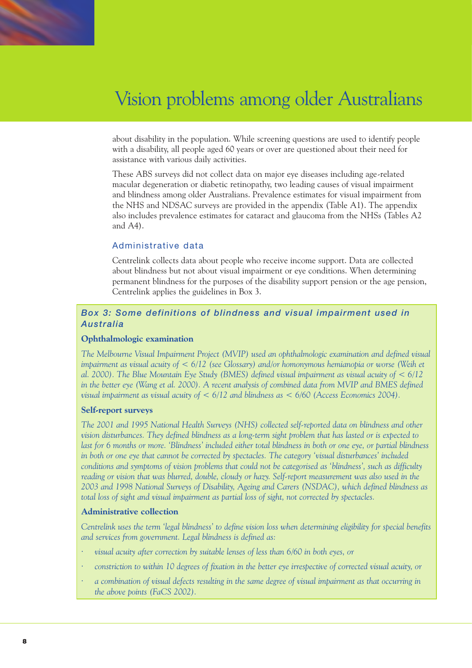about disability in the population. While screening questions are used to identify people with a disability, all people aged 60 years or over are questioned about their need for assistance with various daily activities.

These ABS surveys did not collect data on major eye diseases including age-related macular degeneration or diabetic retinopathy, two leading causes of visual impairment and blindness among older Australians. Prevalence estimates for visual impairment from the NHS and NDSAC surveys are provided in the appendix (Table A1). The appendix also includes prevalence estimates for cataract and glaucoma from the NHSs (Tables A2 and A4).

## Administrative data

Centrelink collects data about people who receive income support. Data are collected about blindness but not about visual impairment or eye conditions. When determining permanent blindness for the purposes of the disability support pension or the age pension, Centrelink applies the guidelines in Box 3.

## *Box 3: Some definitions of blindness and visual impairment used in Australia*

### **Ophthalmologic examination**

*The Melbourne Visual Impairment Project (MVIP) used an ophthalmologic examination and defined visual impairment as visual acuity of < 6/12 (see Glossary) and/or homonymous hemianopia or worse (Weih et al. 2000). The Blue Mountain Eye Study (BMES) defined visual impairment as visual acuity of < 6/12 in the better eye (Wang et al. 2000). A recent analysis of combined data from MVIP and BMES defined visual impairment as visual acuity of < 6/12 and blindness as < 6/60 (Access Economics 2004).*

## **Self-report surveys**

*The 2001 and 1995 National Health Surveys (NHS) collected self-reported data on blindness and other vision disturbances. They defined blindness as a long-term sight problem that has lasted or is expected to last for 6 months or more. 'Blindness' included either total blindness in both or one eye, or partial blindness in both or one eye that cannot be corrected by spectacles. The category 'visual disturbances' included conditions and symptoms of vision problems that could not be categorised as 'blindness', such as difficulty reading or vision that was blurred, double, cloudy or hazy. Self-report measurement was also used in the 2003 and 1998 National Surveys of Disability, Ageing and Carers (NSDAC), which defined blindness as total loss of sight and visual impairment as partial loss of sight, not corrected by spectacles.*

## **Administrative collection**

*Centrelink uses the term 'legal blindness' to define vision loss when determining eligibility for special benefits and services from government. Legal blindness is defined as:*

- *· visual acuity after correction by suitable lenses of less than 6/60 in both eyes, or*
- *· constriction to within 10 degrees of fixation in the better eye irrespective of corrected visual acuity, or*
- *· a combination of visual defects resulting in the same degree of visual impairment as that occurring in the above points (FaCS 2002).*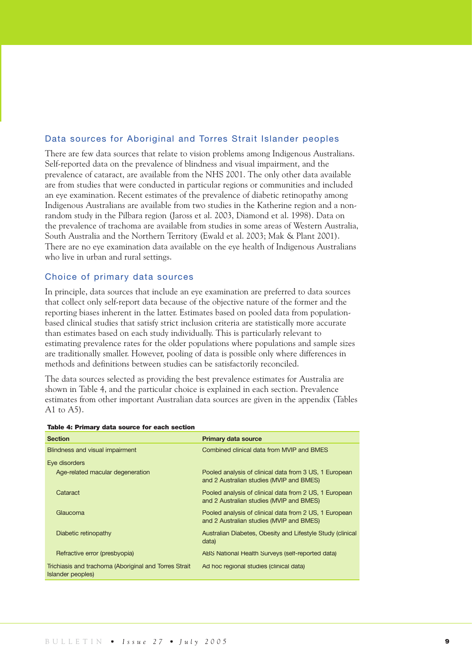## Data sources for Aboriginal and Torres Strait Islander peoples

There are few data sources that relate to vision problems among Indigenous Australians. Self-reported data on the prevalence of blindness and visual impairment, and the prevalence of cataract, are available from the NHS 2001. The only other data available are from studies that were conducted in particular regions or communities and included an eye examination. Recent estimates of the prevalence of diabetic retinopathy among Indigenous Australians are available from two studies in the Katherine region and a nonrandom study in the Pilbara region (Jaross et al. 2003, Diamond et al. 1998). Data on the prevalence of trachoma are available from studies in some areas of Western Australia, South Australia and the Northern Territory (Ewald et al. 2003; Mak & Plant 2001). There are no eye examination data available on the eye health of Indigenous Australians who live in urban and rural settings.

## Choice of primary data sources

In principle, data sources that include an eye examination are preferred to data sources that collect only self-report data because of the objective nature of the former and the reporting biases inherent in the latter. Estimates based on pooled data from populationbased clinical studies that satisfy strict inclusion criteria are statistically more accurate than estimates based on each study individually. This is particularly relevant to estimating prevalence rates for the older populations where populations and sample sizes are traditionally smaller. However, pooling of data is possible only where differences in methods and definitions between studies can be satisfactorily reconciled.

The data sources selected as providing the best prevalence estimates for Australia are shown in Table 4, and the particular choice is explained in each section. Prevalence estimates from other important Australian data sources are given in the appendix (Tables A1 to  $(A5)$ .

| <b>Section</b>                                                             | <b>Primary data source</b>                                                                         |
|----------------------------------------------------------------------------|----------------------------------------------------------------------------------------------------|
| Blindness and visual impairment                                            | Combined clinical data from MVIP and BMES                                                          |
| Eye disorders                                                              |                                                                                                    |
| Age-related macular degeneration                                           | Pooled analysis of clinical data from 3 US, 1 European<br>and 2 Australian studies (MVIP and BMES) |
| Cataract                                                                   | Pooled analysis of clinical data from 2 US, 1 European<br>and 2 Australian studies (MVIP and BMES) |
| Glaucoma                                                                   | Pooled analysis of clinical data from 2 US, 1 European<br>and 2 Australian studies (MVIP and BMES) |
| Diabetic retinopathy                                                       | Australian Diabetes, Obesity and Lifestyle Study (clinical<br>data)                                |
| Refractive error (presbyopia)                                              | ABS National Health Surveys (self-reported data)                                                   |
| Trichiasis and trachoma (Aboriginal and Torres Strait<br>Islander peoples) | Ad hoc regional studies (clinical data)                                                            |

#### Table 4: Primary data source for each section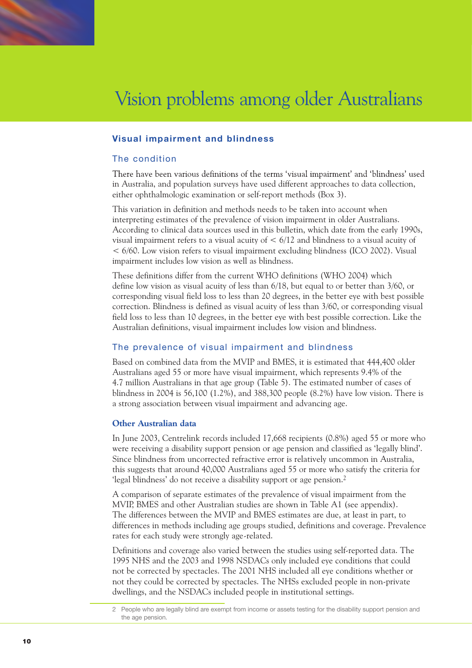

## **Visual impairment and blindness**

## The condition

There have been various definitions of the terms 'visual impairment' and 'blindness' used in Australia, and population surveys have used different approaches to data collection, either ophthalmologic examination or self-report methods (Box 3).

This variation in definition and methods needs to be taken into account when interpreting estimates of the prevalence of vision impairment in older Australians. According to clinical data sources used in this bulletin, which date from the early 1990s, visual impairment refers to a visual acuity of  $\lt$  6/12 and blindness to a visual acuity of < 6/60. Low vision refers to visual impairment excluding blindness (ICO 2002). Visual impairment includes low vision as well as blindness.

These definitions differ from the current WHO definitions (WHO 2004) which define low vision as visual acuity of less than 6/18, but equal to or better than 3/60, or corresponding visual field loss to less than 20 degrees, in the better eye with best possible correction. Blindness is defined as visual acuity of less than 3/60, or corresponding visual field loss to less than 10 degrees, in the better eye with best possible correction. Like the Australian definitions, visual impairment includes low vision and blindness.

## The prevalence of visual impairment and blindness

Based on combined data from the MVIP and BMES, it is estimated that 444,400 older Australians aged 55 or more have visual impairment, which represents 9.4% of the 4.7 million Australians in that age group (Table 5). The estimated number of cases of blindness in 2004 is 56,100 (1.2%), and 388,300 people (8.2%) have low vision. There is a strong association between visual impairment and advancing age.

## **Other Australian data**

In June 2003, Centrelink records included 17,668 recipients (0.8%) aged 55 or more who were receiving a disability support pension or age pension and classified as 'legally blind'. Since blindness from uncorrected refractive error is relatively uncommon in Australia, this suggests that around 40,000 Australians aged 55 or more who satisfy the criteria for 'legal blindness' do not receive a disability support or age pension.2

A comparison of separate estimates of the prevalence of visual impairment from the MVIP, BMES and other Australian studies are shown in Table A1 (see appendix). The differences between the MVIP and BMES estimates are due, at least in part, to differences in methods including age groups studied, definitions and coverage. Prevalence rates for each study were strongly age-related.

Definitions and coverage also varied between the studies using self-reported data. The 1995 NHS and the 2003 and 1998 NSDACs only included eye conditions that could not be corrected by spectacles. The 2001 NHS included all eye conditions whether or not they could be corrected by spectacles. The NHSs excluded people in non-private dwellings, and the NSDACs included people in institutional settings.

<sup>2</sup> People who are legally blind are exempt from income or assets testing for the disability support pension and the age pension.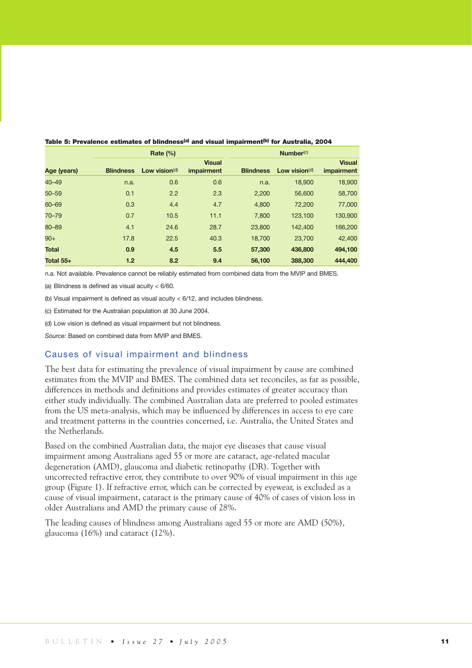|              | Rate $(\% )$     |                  |                             |                  | Number <sup>(c)</sup> |                             |
|--------------|------------------|------------------|-----------------------------|------------------|-----------------------|-----------------------------|
| Age (years)  | <b>Blindness</b> | Low vision $(d)$ | <b>Visual</b><br>impairment | <b>Blindness</b> | Low vision $(d)$      | <b>Visual</b><br>impairment |
| $40 - 49$    | n.a.             | 0.6              | 0.6                         | n.a.             | 18,900                | 18,900                      |
| $50 - 59$    | 0.1              | 2.2              | 2.3                         | 2,200            | 56,600                | 58,700                      |
| 60-69        | 0.3              | 4.4              | 4.7                         | 4,800            | 72,200                | 77,000                      |
| 70-79        | 0.7              | 10.5             | 11.1                        | 7,800            | 123,100               | 130,900                     |
| 80-89        | 4.1              | 24.6             | 28.7                        | 23,800           | 142,400               | 166,200                     |
| $90+$        | 17.8             | 22.5             | 40.3                        | 18.700           | 23,700                | 42,400                      |
| <b>Total</b> | 0.9              | 4.5              | 5.5                         | 57,300           | 436,800               | 494,100                     |
| Total 55+    | 1.2              | 8.2              | 9.4                         | 56,100           | 388,300               | 444,400                     |

Table 5: Prevalence estimates of blindness<sup>(a)</sup> and visual impairment<sup>(b)</sup> for Australia, 2004

n.a. Not available. Prevalence cannot be reliably estimated from combined data from the MVIP and BMES.

(a) Blindness is defined as visual acuity < 6/60.

(b) Visual impairment is defined as visual acuity < 6/12, and includes blindness.

(c) Estimated for the Australian population at 30 June 2004.

(d) Low vision is defined as visual impairment but not blindness.

*Source:* Based on combined data from MVIP and BMES.

## Causes of visual impairment and blindness

The best data for estimating the prevalence of visual impairment by cause are combined estimates from the MVIP and BMES. The combined data set reconciles, as far as possible, differences in methods and definitions and provides estimates of greater accuracy than either study individually. The combined Australian data are preferred to pooled estimates from the US meta-analysis, which may be influenced by differences in access to eye care and treatment patterns in the countries concerned, i.e. Australia, the United States and the Netherlands.

Based on the combined Australian data, the major eye diseases that cause visual impairment among Australians aged 55 or more are cataract, age-related macular degeneration (AMD), glaucoma and diabetic retinopathy (DR). Together with uncorrected refractive error, they contribute to over 90% of visual impairment in this age group (Figure 1). If refractive error, which can be corrected by eyewear, is excluded as a cause of visual impairment, cataract is the primary cause of 40% of cases of vision loss in older Australians and AMD the primary cause of 28%.

The leading causes of blindness among Australians aged 55 or more are AMD (50%), glaucoma (16%) and cataract (12%).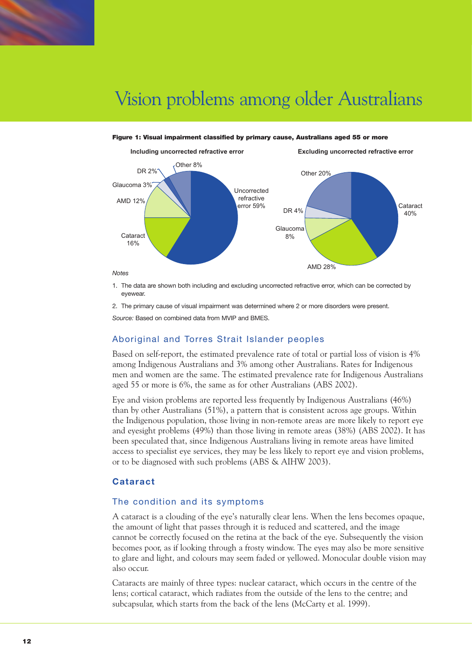

#### Figure 1: Visual impairment classified by primary cause, Australians aged 55 or more



- 
- 1. The data are shown both including and excluding uncorrected refractive error, which can be corrected by evewear
- 2. The primary cause of visual impairment was determined where 2 or more disorders were present.

*Source:* Based on combined data from MVIP and BMES.

## Aboriginal and Torres Strait Islander peoples

Based on self-report, the estimated prevalence rate of total or partial loss of vision is 4% among Indigenous Australians and 3% among other Australians. Rates for Indigenous men and women are the same. The estimated prevalence rate for Indigenous Australians aged 55 or more is 6%, the same as for other Australians (ABS 2002).

Eye and vision problems are reported less frequently by Indigenous Australians (46%) than by other Australians (51%), a pattern that is consistent across age groups. Within the Indigenous population, those living in non-remote areas are more likely to report eye and eyesight problems (49%) than those living in remote areas (38%) (ABS 2002). It has been speculated that, since Indigenous Australians living in remote areas have limited access to specialist eye services, they may be less likely to report eye and vision problems, or to be diagnosed with such problems (ABS & AIHW 2003).

## **Cataract**

## The condition and its symptoms

A cataract is a clouding of the eye's naturally clear lens. When the lens becomes opaque, the amount of light that passes through it is reduced and scattered, and the image cannot be correctly focused on the retina at the back of the eye. Subsequently the vision becomes poor, as if looking through a frosty window. The eyes may also be more sensitive to glare and light, and colours may seem faded or yellowed. Monocular double vision may also occur.

Cataracts are mainly of three types: nuclear cataract, which occurs in the centre of the lens; cortical cataract, which radiates from the outside of the lens to the centre; and subcapsular, which starts from the back of the lens (McCarty et al. 1999).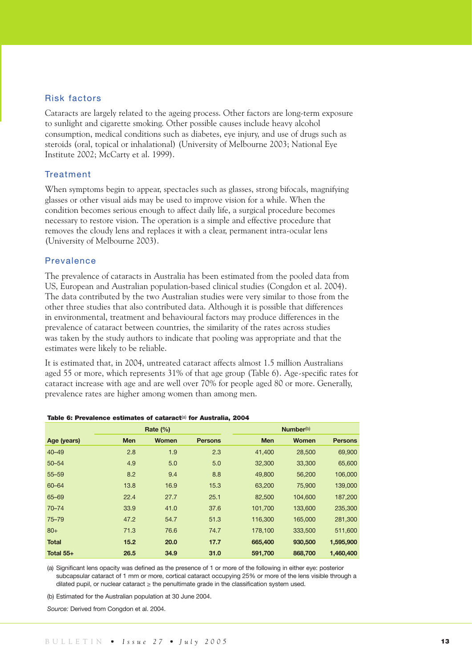## Risk factors

Cataracts are largely related to the ageing process. Other factors are long-term exposure to sunlight and cigarette smoking. Other possible causes include heavy alcohol consumption, medical conditions such as diabetes, eye injury, and use of drugs such as steroids (oral, topical or inhalational) (University of Melbourne 2003; National Eye Institute 2002; McCarty et al. 1999).

## Treatment

When symptoms begin to appear, spectacles such as glasses, strong bifocals, magnifying glasses or other visual aids may be used to improve vision for a while. When the condition becomes serious enough to affect daily life, a surgical procedure becomes necessary to restore vision. The operation is a simple and effective procedure that removes the cloudy lens and replaces it with a clear, permanent intra-ocular lens (University of Melbourne 2003).

## Prevalence

The prevalence of cataracts in Australia has been estimated from the pooled data from US, European and Australian population-based clinical studies (Congdon et al. 2004). The data contributed by the two Australian studies were very similar to those from the other three studies that also contributed data. Although it is possible that differences in environmental, treatment and behavioural factors may produce differences in the prevalence of cataract between countries, the similarity of the rates across studies was taken by the study authors to indicate that pooling was appropriate and that the estimates were likely to be reliable.

It is estimated that, in 2004, untreated cataract affects almost 1.5 million Australians aged 55 or more, which represents 31% of that age group (Table 6). Age-specific rates for cataract increase with age and are well over 70% for people aged 80 or more. Generally, prevalence rates are higher among women than among men.

|              | Rate $(\%)$ |       |                |            | Number <sup>(b)</sup> |                |
|--------------|-------------|-------|----------------|------------|-----------------------|----------------|
| Age (years)  | <b>Men</b>  | Women | <b>Persons</b> | <b>Men</b> | <b>Women</b>          | <b>Persons</b> |
| $40 - 49$    | 2.8         | 1.9   | 2.3            | 41,400     | 28,500                | 69,900         |
| $50 - 54$    | 4.9         | 5.0   | 5.0            | 32,300     | 33,300                | 65,600         |
| $55 - 59$    | 8.2         | 9.4   | 8.8            | 49,800     | 56,200                | 106,000        |
| 60-64        | 13.8        | 16.9  | 15.3           | 63,200     | 75,900                | 139,000        |
| 65-69        | 22.4        | 27.7  | 25.1           | 82,500     | 104,600               | 187,200        |
| $70 - 74$    | 33.9        | 41.0  | 37.6           | 101,700    | 133,600               | 235,300        |
| $75 - 79$    | 47.2        | 54.7  | 51.3           | 116,300    | 165,000               | 281,300        |
| $80+$        | 71.3        | 76.6  | 74.7           | 178,100    | 333,500               | 511,600        |
| <b>Total</b> | 15.2        | 20.0  | 17.7           | 665,400    | 930,500               | 1,595,900      |
| Total 55+    | 26.5        | 34.9  | 31.0           | 591,700    | 868,700               | 1,460,400      |

#### Table 6: Prevalence estimates of cataract<sup>(a)</sup> for Australia, 2004

(a) Significant lens opacity was defined as the presence of 1 or more of the following in either eye: posterior subcapsular cataract of 1 mm or more, cortical cataract occupying 25% or more of the lens visible through a dilated pupil, or nuclear cataract ≥ the penultimate grade in the classification system used.

(b) Estimated for the Australian population at 30 June 2004.

*Source:* Derived from Congdon et al. 2004.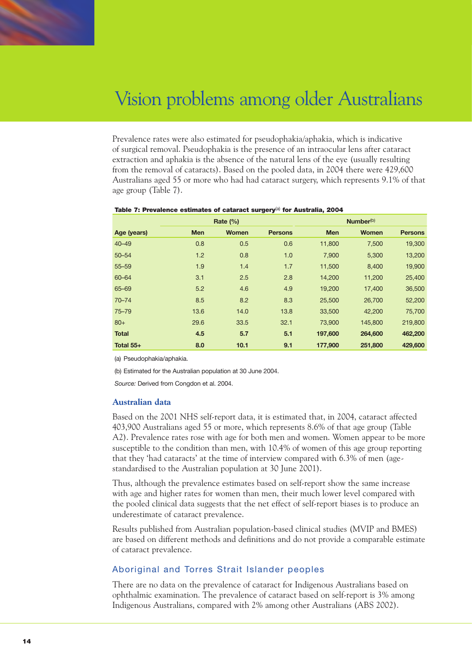

Prevalence rates were also estimated for pseudophakia/aphakia, which is indicative of surgical removal. Pseudophakia is the presence of an intraocular lens after cataract extraction and aphakia is the absence of the natural lens of the eye (usually resulting from the removal of cataracts). Based on the pooled data, in 2004 there were 429,600 Australians aged 55 or more who had had cataract surgery, which represents 9.1% of that age group (Table 7).

|              | Rate $(\%)$ |       |                |            | Number <sup>(b)</sup> |                |
|--------------|-------------|-------|----------------|------------|-----------------------|----------------|
| Age (years)  | <b>Men</b>  | Women | <b>Persons</b> | <b>Men</b> | <b>Women</b>          | <b>Persons</b> |
| $40 - 49$    | 0.8         | 0.5   | 0.6            | 11,800     | 7,500                 | 19,300         |
| $50 - 54$    | 1.2         | 0.8   | 1.0            | 7,900      | 5,300                 | 13,200         |
| $55 - 59$    | 1.9         | 1.4   | 1.7            | 11,500     | 8,400                 | 19,900         |
| 60-64        | 3.1         | 2.5   | 2.8            | 14,200     | 11,200                | 25,400         |
| 65-69        | 5.2         | 4.6   | 4.9            | 19,200     | 17,400                | 36,500         |
| $70 - 74$    | 8.5         | 8.2   | 8.3            | 25,500     | 26,700                | 52,200         |
| $75 - 79$    | 13.6        | 14.0  | 13.8           | 33,500     | 42,200                | 75,700         |
| $80+$        | 29.6        | 33.5  | 32.1           | 73,900     | 145,800               | 219,800        |
| <b>Total</b> | 4.5         | 5.7   | 5.1            | 197,600    | 264,600               | 462,200        |
| Total 55+    | 8.0         | 10.1  | 9.1            | 177,900    | 251,800               | 429,600        |

#### Table 7: Prevalence estimates of cataract surgery<sup>(a)</sup> for Australia, 2004

(a) Pseudophakia/aphakia.

(b) Estimated for the Australian population at 30 June 2004.

*Source:* Derived from Congdon et al. 2004.

### **Australian data**

Based on the 2001 NHS self-report data, it is estimated that, in 2004, cataract affected 403,900 Australians aged 55 or more, which represents 8.6% of that age group (Table A2). Prevalence rates rose with age for both men and women. Women appear to be more susceptible to the condition than men, with 10.4% of women of this age group reporting that they 'had cataracts' at the time of interview compared with 6.3% of men (agestandardised to the Australian population at 30 June 2001).

Thus, although the prevalence estimates based on self-report show the same increase with age and higher rates for women than men, their much lower level compared with the pooled clinical data suggests that the net effect of self-report biases is to produce an underestimate of cataract prevalence.

Results published from Australian population-based clinical studies (MVIP and BMES) are based on different methods and definitions and do not provide a comparable estimate of cataract prevalence.

## Aboriginal and Torres Strait Islander peoples

There are no data on the prevalence of cataract for Indigenous Australians based on ophthalmic examination. The prevalence of cataract based on self-report is 3% among Indigenous Australians, compared with 2% among other Australians (ABS 2002).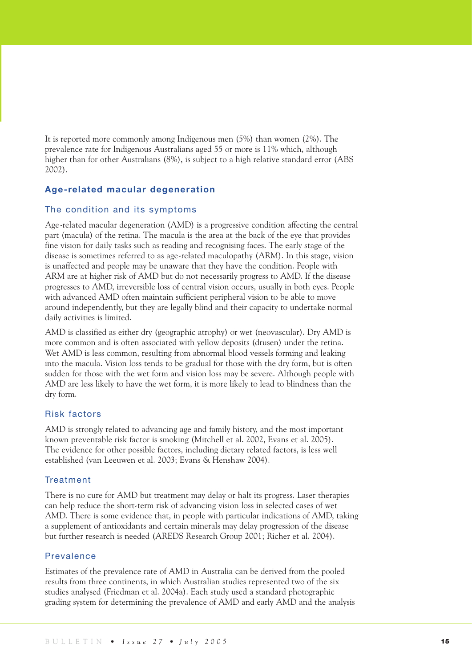It is reported more commonly among Indigenous men (5%) than women (2%). The prevalence rate for Indigenous Australians aged 55 or more is 11% which, although higher than for other Australians (8%), is subject to a high relative standard error (ABS 2002).

## **Age-related macular degeneration**

## The condition and its symptoms

Age-related macular degeneration (AMD) is a progressive condition affecting the central part (macula) of the retina. The macula is the area at the back of the eye that provides fine vision for daily tasks such as reading and recognising faces. The early stage of the disease is sometimes referred to as age-related maculopathy (ARM). In this stage, vision is unaffected and people may be unaware that they have the condition. People with ARM are at higher risk of AMD but do not necessarily progress to AMD. If the disease progresses to AMD, irreversible loss of central vision occurs, usually in both eyes. People with advanced AMD often maintain sufficient peripheral vision to be able to move around independently, but they are legally blind and their capacity to undertake normal daily activities is limited.

AMD is classified as either dry (geographic atrophy) or wet (neovascular). Dry AMD is more common and is often associated with yellow deposits (drusen) under the retina. Wet AMD is less common, resulting from abnormal blood vessels forming and leaking into the macula. Vision loss tends to be gradual for those with the dry form, but is often sudden for those with the wet form and vision loss may be severe. Although people with AMD are less likely to have the wet form, it is more likely to lead to blindness than the dry form.

### Risk factors

AMD is strongly related to advancing age and family history, and the most important known preventable risk factor is smoking (Mitchell et al. 2002, Evans et al. 2005). The evidence for other possible factors, including dietary related factors, is less well established (van Leeuwen et al. 2003; Evans & Henshaw 2004).

### **Treatment**

There is no cure for AMD but treatment may delay or halt its progress. Laser therapies can help reduce the short-term risk of advancing vision loss in selected cases of wet AMD. There is some evidence that, in people with particular indications of AMD, taking a supplement of antioxidants and certain minerals may delay progression of the disease but further research is needed (AREDS Research Group 2001; Richer et al. 2004).

## Prevalence

Estimates of the prevalence rate of AMD in Australia can be derived from the pooled results from three continents, in which Australian studies represented two of the six studies analysed (Friedman et al. 2004a). Each study used a standard photographic grading system for determining the prevalence of AMD and early AMD and the analysis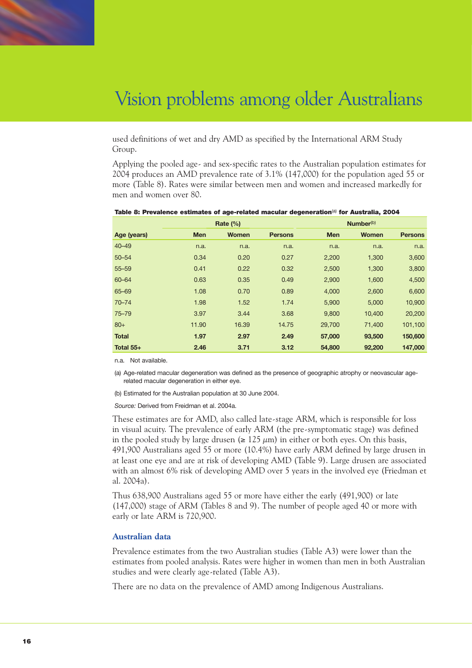

used definitions of wet and dry AMD as specified by the International ARM Study Group.

Applying the pooled age- and sex-specific rates to the Australian population estimates for 2004 produces an AMD prevalence rate of 3.1% (147,000) for the population aged 55 or more (Table 8). Rates were similar between men and women and increased markedly for men and women over 80.

|              | Rate $(\% )$ |              |                |            | Number <sup>(b)</sup> |                |
|--------------|--------------|--------------|----------------|------------|-----------------------|----------------|
| Age (years)  | <b>Men</b>   | <b>Women</b> | <b>Persons</b> | <b>Men</b> | <b>Women</b>          | <b>Persons</b> |
| $40 - 49$    | n.a.         | n.a.         | n.a.           | n.a.       | n.a.                  | n.a.           |
| $50 - 54$    | 0.34         | 0.20         | 0.27           | 2,200      | 1,300                 | 3,600          |
| $55 - 59$    | 0.41         | 0.22         | 0.32           | 2,500      | 1,300                 | 3,800          |
| $60 - 64$    | 0.63         | 0.35         | 0.49           | 2,900      | 1,600                 | 4,500          |
| 65-69        | 1.08         | 0.70         | 0.89           | 4,000      | 2,600                 | 6,600          |
| $70 - 74$    | 1.98         | 1.52         | 1.74           | 5,900      | 5,000                 | 10,900         |
| $75 - 79$    | 3.97         | 3.44         | 3.68           | 9,800      | 10,400                | 20,200         |
| $80+$        | 11.90        | 16.39        | 14.75          | 29,700     | 71,400                | 101,100        |
| <b>Total</b> | 1.97         | 2.97         | 2.49           | 57,000     | 93,500                | 150,600        |
| Total 55+    | 2.46         | 3.71         | 3.12           | 54,800     | 92,200                | 147,000        |

#### Table 8: Prevalence estimates of age-related macular degeneration<sup>(a)</sup> for Australia, 2004

n.a. Not available.

(a) Age-related macular degeneration was defined as the presence of geographic atrophy or neovascular agerelated macular degeneration in either eye.

(b) Estimated for the Australian population at 30 June 2004.

*Source:* Derived from Freidman et al. 2004a.

These estimates are for AMD, also called late-stage ARM, which is responsible for loss in visual acuity. The prevalence of early ARM (the pre-symptomatic stage) was defined in the pooled study by large drusen ( $\geq 125 \mu m$ ) in either or both eyes. On this basis, 491,900 Australians aged 55 or more (10.4%) have early ARM defined by large drusen in at least one eye and are at risk of developing AMD (Table 9). Large drusen are associated with an almost 6% risk of developing AMD over 5 years in the involved eye (Friedman et al. 2004a).

Thus 638,900 Australians aged 55 or more have either the early (491,900) or late (147,000) stage of ARM (Tables 8 and 9). The number of people aged 40 or more with early or late ARM is 720,900.

## **Australian data**

Prevalence estimates from the two Australian studies (Table A3) were lower than the estimates from pooled analysis. Rates were higher in women than men in both Australian studies and were clearly age-related (Table A3).

There are no data on the prevalence of AMD among Indigenous Australians.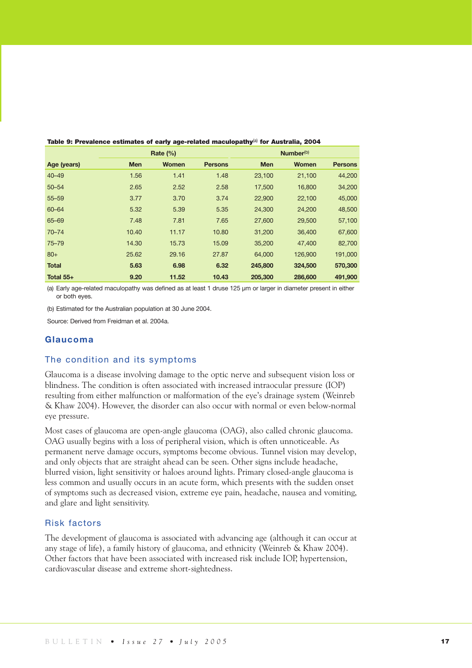|              | Rate $(\% )$ |              |                |            | Number <sup>(b)</sup> |                |
|--------------|--------------|--------------|----------------|------------|-----------------------|----------------|
| Age (years)  | <b>Men</b>   | <b>Women</b> | <b>Persons</b> | <b>Men</b> | <b>Women</b>          | <b>Persons</b> |
| $40 - 49$    | 1.56         | 1.41         | 1.48           | 23,100     | 21,100                | 44,200         |
| $50 - 54$    | 2.65         | 2.52         | 2.58           | 17,500     | 16,800                | 34,200         |
| $55 - 59$    | 3.77         | 3.70         | 3.74           | 22,900     | 22,100                | 45,000         |
| 60-64        | 5.32         | 5.39         | 5.35           | 24,300     | 24,200                | 48,500         |
| 65-69        | 7.48         | 7.81         | 7.65           | 27,600     | 29,500                | 57,100         |
| $70 - 74$    | 10.40        | 11.17        | 10.80          | 31,200     | 36,400                | 67,600         |
| $75 - 79$    | 14.30        | 15.73        | 15.09          | 35,200     | 47,400                | 82,700         |
| $80+$        | 25.62        | 29.16        | 27.87          | 64,000     | 126,900               | 191,000        |
| <b>Total</b> | 5.63         | 6.98         | 6.32           | 245,800    | 324,500               | 570,300        |
| Total 55+    | 9.20         | 11.52        | 10.43          | 205,300    | 286,600               | 491,900        |

Table 9: Prevalence estimates of early age-related maculopathy<sup>(a)</sup> for Australia, 2004

(a) Early age-related maculopathy was defined as at least 1 druse 125 µm or larger in diameter present in either or both eyes.

(b) Estimated for the Australian population at 30 June 2004.

Source: Derived from Freidman et al. 2004a.

## **Glaucoma**

#### The condition and its symptoms

Glaucoma is a disease involving damage to the optic nerve and subsequent vision loss or blindness. The condition is often associated with increased intraocular pressure (IOP) resulting from either malfunction or malformation of the eye's drainage system (Weinreb & Khaw 2004). However, the disorder can also occur with normal or even below-normal eye pressure.

Most cases of glaucoma are open-angle glaucoma (OAG), also called chronic glaucoma. OAG usually begins with a loss of peripheral vision, which is often unnoticeable. As permanent nerve damage occurs, symptoms become obvious. Tunnel vision may develop, and only objects that are straight ahead can be seen. Other signs include headache, blurred vision, light sensitivity or haloes around lights. Primary closed-angle glaucoma is less common and usually occurs in an acute form, which presents with the sudden onset of symptoms such as decreased vision, extreme eye pain, headache, nausea and vomiting, and glare and light sensitivity.

### Risk factors

The development of glaucoma is associated with advancing age (although it can occur at any stage of life), a family history of glaucoma, and ethnicity (Weinreb & Khaw 2004). Other factors that have been associated with increased risk include IOP, hypertension, cardiovascular disease and extreme short-sightedness.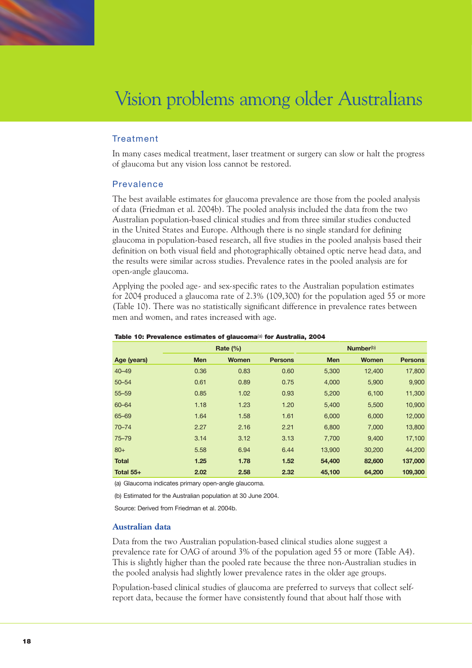

## Treatment

In many cases medical treatment, laser treatment or surgery can slow or halt the progress of glaucoma but any vision loss cannot be restored.

## Prevalence

The best available estimates for glaucoma prevalence are those from the pooled analysis of data (Friedman et al. 2004b). The pooled analysis included the data from the two Australian population-based clinical studies and from three similar studies conducted in the United States and Europe. Although there is no single standard for defining glaucoma in population-based research, all five studies in the pooled analysis based their definition on both visual field and photographically obtained optic nerve head data, and the results were similar across studies. Prevalence rates in the pooled analysis are for open-angle glaucoma.

Applying the pooled age- and sex-specific rates to the Australian population estimates for 2004 produced a glaucoma rate of 2.3% (109,300) for the population aged 55 or more (Table 10). There was no statistically significant difference in prevalence rates between men and women, and rates increased with age.

| Rate $(\%)$  |            |       |                | Number <sup>(b)</sup> |        |                |
|--------------|------------|-------|----------------|-----------------------|--------|----------------|
| Age (years)  | <b>Men</b> | Women | <b>Persons</b> | <b>Men</b>            | Women  | <b>Persons</b> |
| $40 - 49$    | 0.36       | 0.83  | 0.60           | 5,300                 | 12,400 | 17,800         |
| $50 - 54$    | 0.61       | 0.89  | 0.75           | 4,000                 | 5,900  | 9,900          |
| $55 - 59$    | 0.85       | 1.02  | 0.93           | 5,200                 | 6,100  | 11,300         |
| $60 - 64$    | 1.18       | 1.23  | 1.20           | 5,400                 | 5,500  | 10,900         |
| $65 - 69$    | 1.64       | 1.58  | 1.61           | 6,000                 | 6,000  | 12,000         |
| $70 - 74$    | 2.27       | 2.16  | 2.21           | 6,800                 | 7,000  | 13,800         |
| $75 - 79$    | 3.14       | 3.12  | 3.13           | 7,700                 | 9,400  | 17,100         |
| $80+$        | 5.58       | 6.94  | 6.44           | 13,900                | 30,200 | 44,200         |
| <b>Total</b> | 1.25       | 1.78  | 1.52           | 54,400                | 82,600 | 137,000        |
| Total 55+    | 2.02       | 2.58  | 2.32           | 45,100                | 64,200 | 109,300        |

#### Table 10: Prevalence estimates of glaucoma<sup>(a)</sup> for Australia, 2004

(a) Glaucoma indicates primary open-angle glaucoma.

(b) Estimated for the Australian population at 30 June 2004.

Source: Derived from Friedman et al. 2004b.

### **Australian data**

Data from the two Australian population-based clinical studies alone suggest a prevalence rate for OAG of around 3% of the population aged 55 or more (Table A4). This is slightly higher than the pooled rate because the three non-Australian studies in the pooled analysis had slightly lower prevalence rates in the older age groups.

Population-based clinical studies of glaucoma are preferred to surveys that collect selfreport data, because the former have consistently found that about half those with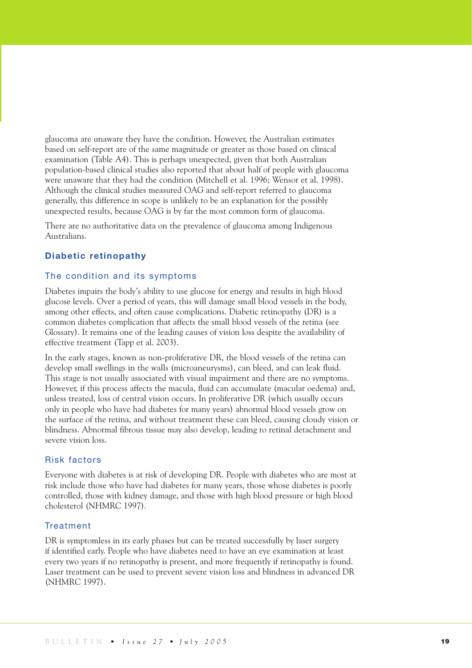glaucoma are unaware they have the condition. However, the Australian estimates based on self-report are of the same magnitude or greater as those based on clinical examination (Table A4). This is perhaps unexpected, given that both Australian population-based clinical studies also reported that about half of people with glaucoma were unaware that they had the condition (Mitchell et al. 1996; Wensor et al. 1998). Although the clinical studies measured OAG and self-report referred to glaucoma generally, this difference in scope is unlikely to be an explanation for the possibly unexpected results, because OAG is by far the most common form of glaucoma.

There are no authoritative data on the prevalence of glaucoma among Indigenous Australians.

## **Diabetic retinopathy**

## The condition and its symptoms

Diabetes impairs the body's ability to use glucose for energy and results in high blood glucose levels. Over a period of years, this will damage small blood vessels in the body, among other effects, and often cause complications. Diabetic retinopathy (DR) is a common diabetes complication that affects the small blood vessels of the retina (see Glossary). It remains one of the leading causes of vision loss despite the availability of effective treatment (Tapp et al. 2003).

In the early stages, known as non-proliferative DR, the blood vessels of the retina can develop small swellings in the walls (microaneurysms), can bleed, and can leak fluid. This stage is not usually associated with visual impairment and there are no symptoms. However, if this process affects the macula, fluid can accumulate (macular oedema) and, unless treated, loss of central vision occurs. In proliferative DR (which usually occurs only in people who have had diabetes for many years) abnormal blood vessels grow on the surface of the retina, and without treatment these can bleed, causing cloudy vision or blindness. Abnormal fibrous tissue may also develop, leading to retinal detachment and severe vision loss.

## Risk factors

Everyone with diabetes is at risk of developing DR. People with diabetes who are most at risk include those who have had diabetes for many years, those whose diabetes is poorly controlled, those with kidney damage, and those with high blood pressure or high blood cholesterol (NHMRC 1997).

## **Treatment**

DR is symptomless in its early phases but can be treated successfully by laser surgery if identified early. People who have diabetes need to have an eye examination at least every two years if no retinopathy is present, and more frequently if retinopathy is found. Laser treatment can be used to prevent severe vision loss and blindness in advanced DR (NHMRC 1997).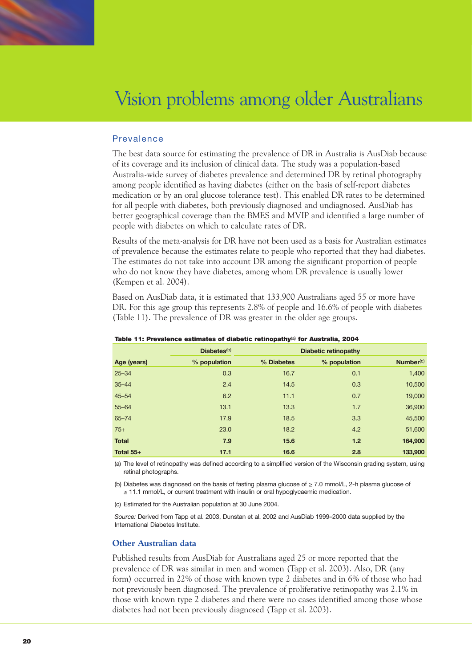

## Prevalence

The best data source for estimating the prevalence of DR in Australia is AusDiab because of its coverage and its inclusion of clinical data. The study was a population-based Australia-wide survey of diabetes prevalence and determined DR by retinal photography among people identified as having diabetes (either on the basis of self-report diabetes medication or by an oral glucose tolerance test). This enabled DR rates to be determined for all people with diabetes, both previously diagnosed and undiagnosed. AusDiab has better geographical coverage than the BMES and MVIP and identified a large number of people with diabetes on which to calculate rates of DR.

Results of the meta-analysis for DR have not been used as a basis for Australian estimates of prevalence because the estimates relate to people who reported that they had diabetes. The estimates do not take into account DR among the significant proportion of people who do not know they have diabetes, among whom DR prevalence is usually lower (Kempen et al. 2004).

Based on AusDiab data, it is estimated that 133,900 Australians aged 55 or more have DR. For this age group this represents 2.8% of people and 16.6% of people with diabetes (Table 11). The prevalence of DR was greater in the older age groups.

|              | Diabetes <sup>(b)</sup> |            | <b>Diabetic retinopathy</b> |           |
|--------------|-------------------------|------------|-----------------------------|-----------|
| Age (years)  | % population            | % Diabetes | % population                | Number(c) |
| $25 - 34$    | 0.3                     | 16.7       | 0.1                         | 1,400     |
| $35 - 44$    | 2.4                     | 14.5       | 0.3                         | 10,500    |
| $45 - 54$    | 6.2                     | 11.1       | 0.7                         | 19,000    |
| $55 - 64$    | 13.1                    | 13.3       | 1.7                         | 36,900    |
| $65 - 74$    | 17.9                    | 18.5       | 3.3                         | 45,500    |
| $75+$        | 23.0                    | 18.2       | 4.2                         | 51,600    |
| <b>Total</b> | 7.9                     | 15.6       | 1.2                         | 164,900   |
| Total 55+    | 17.1                    | 16.6       | 2.8                         | 133,900   |

Table 11: Prevalence estimates of diabetic retinopathy<sup>(a)</sup> for Australia, 2004

(a) The level of retinopathy was defined according to a simplified version of the Wisconsin grading system, using retinal photographs.

(b) Diabetes was diagnosed on the basis of fasting plasma glucose of ≥ 7.0 mmol/L, 2-h plasma glucose of ≥ 11.1 mmol/L, or current treatment with insulin or oral hypoglycaemic medication.

(c) Estimated for the Australian population at 30 June 2004.

*Source:* Derived from Tapp et al. 2003, Dunstan et al. 2002 and AusDiab 1999–2000 data supplied by the International Diabetes Institute.

## **Other Australian data**

Published results from AusDiab for Australians aged 25 or more reported that the prevalence of DR was similar in men and women (Tapp et al. 2003). Also, DR (any form) occurred in 22% of those with known type 2 diabetes and in 6% of those who had not previously been diagnosed. The prevalence of proliferative retinopathy was 2.1% in those with known type 2 diabetes and there were no cases identified among those whose diabetes had not been previously diagnosed (Tapp et al. 2003).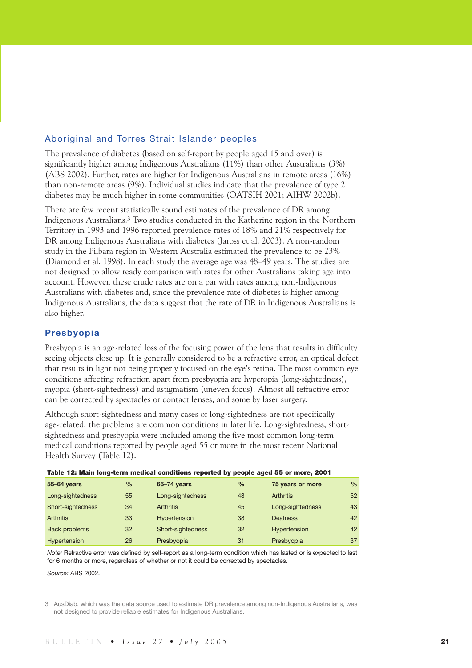## Aboriginal and Torres Strait Islander peoples

The prevalence of diabetes (based on self-report by people aged 15 and over) is significantly higher among Indigenous Australians (11%) than other Australians (3%) (ABS 2002). Further, rates are higher for Indigenous Australians in remote areas (16%) than non-remote areas (9%). Individual studies indicate that the prevalence of type 2 diabetes may be much higher in some communities (OATSIH 2001; AIHW 2002b).

There are few recent statistically sound estimates of the prevalence of DR among Indigenous Australians.3 Two studies conducted in the Katherine region in the Northern Territory in 1993 and 1996 reported prevalence rates of 18% and 21% respectively for DR among Indigenous Australians with diabetes (Jaross et al. 2003). A non-random study in the Pilbara region in Western Australia estimated the prevalence to be 23% (Diamond et al. 1998). In each study the average age was 48–49 years. The studies are not designed to allow ready comparison with rates for other Australians taking age into account. However, these crude rates are on a par with rates among non-Indigenous Australians with diabetes and, since the prevalence rate of diabetes is higher among Indigenous Australians, the data suggest that the rate of DR in Indigenous Australians is also higher.

## **Presbyopia**

Presbyopia is an age-related loss of the focusing power of the lens that results in difficulty seeing objects close up. It is generally considered to be a refractive error, an optical defect that results in light not being properly focused on the eye's retina. The most common eye conditions affecting refraction apart from presbyopia are hyperopia (long-sightedness), myopia (short-sightedness) and astigmatism (uneven focus). Almost all refractive error can be corrected by spectacles or contact lenses, and some by laser surgery.

Although short-sightedness and many cases of long-sightedness are not specifically age-related, the problems are common conditions in later life. Long-sightedness, shortsightedness and presbyopia were included among the five most common long-term medical conditions reported by people aged 55 or more in the most recent National Health Survey (Table 12).

| 55-64 years          | $\frac{0}{0}$ | 65-74 years         | $\frac{0}{0}$ | 75 years or more | $\frac{9}{6}$ |
|----------------------|---------------|---------------------|---------------|------------------|---------------|
| Long-sightedness     | 55            | Long-sightedness    | 48            | <b>Arthritis</b> | 52            |
| Short-sightedness    | 34            | <b>Arthritis</b>    | 45            | Long-sightedness | 43            |
| <b>Arthritis</b>     | 33            | <b>Hypertension</b> | 38            | Deafness         | 42            |
| <b>Back problems</b> | 32            | Short-sightedness   | 32            | Hypertension     | 42            |
| <b>Hypertension</b>  | 26            | Presbyopia          | 31            | Presbyopia       | 37            |

Table 12: Main long-term medical conditions reported by people aged 55 or more, 2001

*Note:* Refractive error was defined by self-report as a long-term condition which has lasted or is expected to last for 6 months or more, regardless of whether or not it could be corrected by spectacles.

*Source:* ABS 2002.

<sup>3</sup> AusDiab, which was the data source used to estimate DR prevalence among non-Indigenous Australians, was not designed to provide reliable estimates for Indigenous Australians.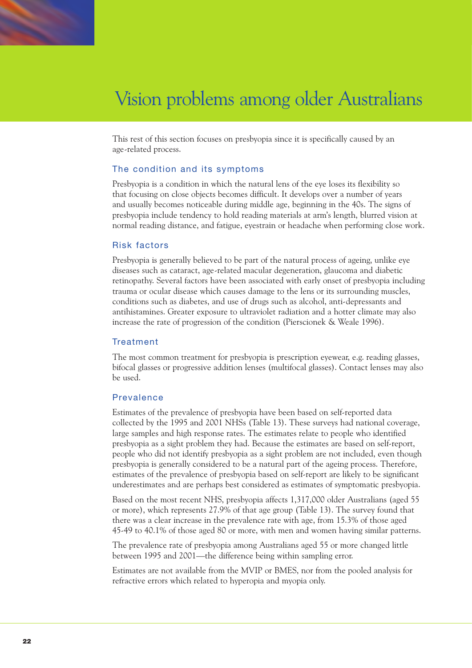

This rest of this section focuses on presbyopia since it is specifically caused by an age-related process.

## The condition and its symptoms

Presbyopia is a condition in which the natural lens of the eye loses its flexibility so that focusing on close objects becomes difficult. It develops over a number of years and usually becomes noticeable during middle age, beginning in the 40s. The signs of presbyopia include tendency to hold reading materials at arm's length, blurred vision at normal reading distance, and fatigue, eyestrain or headache when performing close work.

#### Risk factors

Presbyopia is generally believed to be part of the natural process of ageing, unlike eye diseases such as cataract, age-related macular degeneration, glaucoma and diabetic retinopathy. Several factors have been associated with early onset of presbyopia including trauma or ocular disease which causes damage to the lens or its surrounding muscles, conditions such as diabetes, and use of drugs such as alcohol, anti-depressants and antihistamines. Greater exposure to ultraviolet radiation and a hotter climate may also increase the rate of progression of the condition (Pierscionek & Weale 1996).

## **Treatment**

The most common treatment for presbyopia is prescription eyewear, e.g. reading glasses, bifocal glasses or progressive addition lenses (multifocal glasses). Contact lenses may also be used.

## Prevalence

Estimates of the prevalence of presbyopia have been based on self-reported data collected by the 1995 and 2001 NHSs (Table 13). These surveys had national coverage, large samples and high response rates. The estimates relate to people who identified presbyopia as a sight problem they had. Because the estimates are based on self-report, people who did not identify presbyopia as a sight problem are not included, even though presbyopia is generally considered to be a natural part of the ageing process. Therefore, estimates of the prevalence of presbyopia based on self-report are likely to be significant underestimates and are perhaps best considered as estimates of symptomatic presbyopia.

Based on the most recent NHS, presbyopia affects 1,317,000 older Australians (aged 55 or more), which represents 27.9% of that age group (Table 13). The survey found that there was a clear increase in the prevalence rate with age, from 15.3% of those aged 45-49 to 40.1% of those aged 80 or more, with men and women having similar patterns.

The prevalence rate of presbyopia among Australians aged 55 or more changed little between 1995 and 2001—the difference being within sampling error.

Estimates are not available from the MVIP or BMES, nor from the pooled analysis for refractive errors which related to hyperopia and myopia only.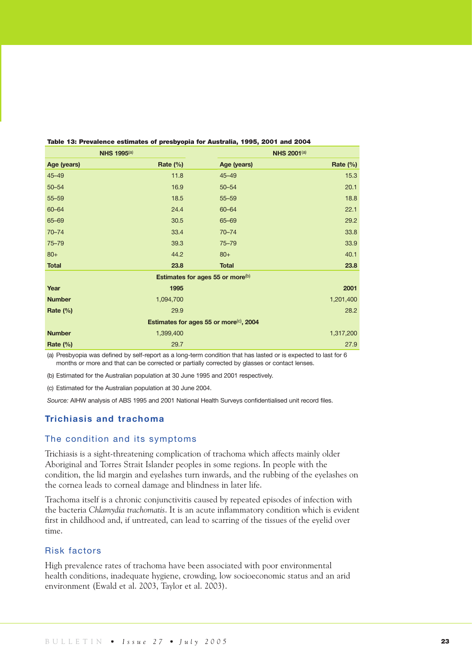| <b>NHS 1995(a)</b> |                                                     |                                              | <b>NHS 2001(a)</b> |  |  |  |
|--------------------|-----------------------------------------------------|----------------------------------------------|--------------------|--|--|--|
| Age (years)        | Rate $(\%)$                                         | Age (years)                                  | Rate (%)           |  |  |  |
| $45 - 49$          | 11.8                                                | $45 - 49$                                    | 15.3               |  |  |  |
| $50 - 54$          | 16.9                                                | $50 - 54$                                    | 20.1               |  |  |  |
| $55 - 59$          | 18.5                                                | $55 - 59$                                    | 18.8               |  |  |  |
| 60-64              | 24.4                                                | $60 - 64$                                    | 22.1               |  |  |  |
| 65-69              | 30.5                                                | $65 - 69$                                    | 29.2               |  |  |  |
| $70 - 74$          | 33.4                                                | $70 - 74$                                    | 33.8               |  |  |  |
| $75 - 79$          | 39.3                                                | $75 - 79$                                    | 33.9               |  |  |  |
| $80+$              | 44.2                                                | $80+$                                        | 40.1               |  |  |  |
| <b>Total</b>       | 23.8                                                | <b>Total</b>                                 | 23.8               |  |  |  |
|                    |                                                     | Estimates for ages 55 or more <sup>(b)</sup> |                    |  |  |  |
| Year               | 1995                                                |                                              | 2001               |  |  |  |
| <b>Number</b>      | 1,094,700                                           |                                              | 1,201,400          |  |  |  |
| Rate $(\%)$        | 29.9                                                |                                              | 28.2               |  |  |  |
|                    | Estimates for ages 55 or more <sup>(c)</sup> , 2004 |                                              |                    |  |  |  |
| <b>Number</b>      | 1,399,400                                           |                                              | 1,317,200          |  |  |  |
| Rate (%)           | 29.7                                                |                                              | 27.9               |  |  |  |

#### Table 13: Prevalence estimates of presbyopia for Australia, 1995, 2001 and 2004

(a) Presbyopia was defined by self-report as a long-term condition that has lasted or is expected to last for 6 months or more and that can be corrected or partially corrected by glasses or contact lenses.

(b) Estimated for the Australian population at 30 June 1995 and 2001 respectively.

(c) Estimated for the Australian population at 30 June 2004.

*Source:* AIHW analysis of ABS 1995 and 2001 National Health Surveys confidentialised unit record files.

## **Trichiasis and trachoma**

## The condition and its symptoms

Trichiasis is a sight-threatening complication of trachoma which affects mainly older Aboriginal and Torres Strait Islander peoples in some regions. In people with the condition, the lid margin and eyelashes turn inwards, and the rubbing of the eyelashes on the cornea leads to corneal damage and blindness in later life.

Trachoma itself is a chronic conjunctivitis caused by repeated episodes of infection with the bacteria *Chlamydia trachomatis*. It is an acute inflammatory condition which is evident first in childhood and, if untreated, can lead to scarring of the tissues of the eyelid over time.

## Risk factors

High prevalence rates of trachoma have been associated with poor environmental health conditions, inadequate hygiene, crowding, low socioeconomic status and an arid environment (Ewald et al. 2003, Taylor et al. 2003).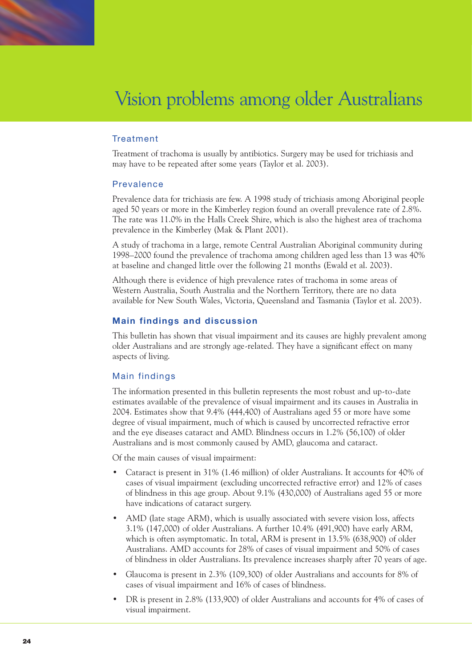

## Treatment

Treatment of trachoma is usually by antibiotics. Surgery may be used for trichiasis and may have to be repeated after some years (Taylor et al. 2003).

## Prevalence

Prevalence data for trichiasis are few. A 1998 study of trichiasis among Aboriginal people aged 50 years or more in the Kimberley region found an overall prevalence rate of 2.8%. The rate was 11.0% in the Halls Creek Shire, which is also the highest area of trachoma prevalence in the Kimberley (Mak & Plant 2001).

A study of trachoma in a large, remote Central Australian Aboriginal community during 1998–2000 found the prevalence of trachoma among children aged less than 13 was 40% at baseline and changed little over the following 21 months (Ewald et al. 2003).

Although there is evidence of high prevalence rates of trachoma in some areas of Western Australia, South Australia and the Northern Territory, there are no data available for New South Wales, Victoria, Queensland and Tasmania (Taylor et al. 2003).

## **Main findings and discussion**

This bulletin has shown that visual impairment and its causes are highly prevalent among older Australians and are strongly age-related. They have a significant effect on many aspects of living.

## Main findings

The information presented in this bulletin represents the most robust and up-to-date estimates available of the prevalence of visual impairment and its causes in Australia in 2004. Estimates show that 9.4% (444,400) of Australians aged 55 or more have some degree of visual impairment, much of which is caused by uncorrected refractive error and the eye diseases cataract and AMD. Blindness occurs in 1.2% (56,100) of older Australians and is most commonly caused by AMD, glaucoma and cataract.

Of the main causes of visual impairment:

- Cataract is present in 31% (1.46 million) of older Australians. It accounts for 40% of cases of visual impairment (excluding uncorrected refractive error) and 12% of cases of blindness in this age group. About 9.1% (430,000) of Australians aged 55 or more have indications of cataract surgery.
- AMD (late stage ARM), which is usually associated with severe vision loss, affects 3.1% (147,000) of older Australians. A further 10.4% (491,900) have early ARM, which is often asymptomatic. In total, ARM is present in 13.5% (638,900) of older Australians. AMD accounts for 28% of cases of visual impairment and 50% of cases of blindness in older Australians. Its prevalence increases sharply after 70 years of age.
- Glaucoma is present in 2.3% (109,300) of older Australians and accounts for 8% of cases of visual impairment and 16% of cases of blindness.
- DR is present in 2.8% (133,900) of older Australians and accounts for 4% of cases of visual impairment.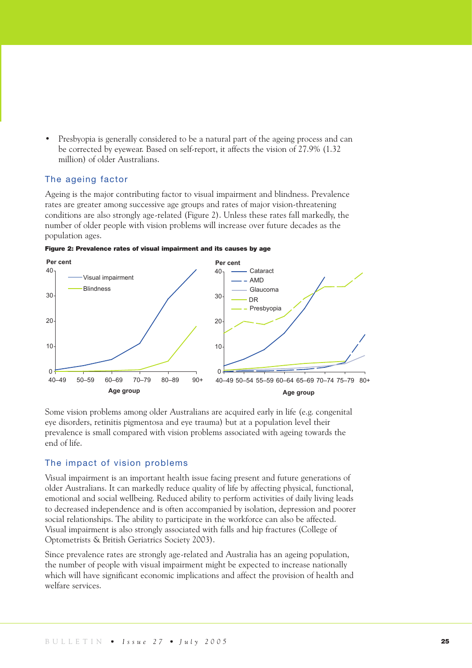• Presbyopia is generally considered to be a natural part of the ageing process and can be corrected by eyewear. Based on self-report, it affects the vision of 27.9% (1.32 million) of older Australians.

## The ageing factor

Ageing is the major contributing factor to visual impairment and blindness. Prevalence rates are greater among successive age groups and rates of major vision-threatening conditions are also strongly age-related (Figure 2). Unless these rates fall markedly, the number of older people with vision problems will increase over future decades as the population ages.

Figure 2: Prevalence rates of visual impairment and its causes by age



Some vision problems among older Australians are acquired early in life (e.g. congenital eye disorders, retinitis pigmentosa and eye trauma) but at a population level their prevalence is small compared with vision problems associated with ageing towards the end of life.

## The impact of vision problems

Visual impairment is an important health issue facing present and future generations of older Australians. It can markedly reduce quality of life by affecting physical, functional, emotional and social wellbeing. Reduced ability to perform activities of daily living leads to decreased independence and is often accompanied by isolation, depression and poorer social relationships. The ability to participate in the workforce can also be affected. Visual impairment is also strongly associated with falls and hip fractures (College of Optometrists & British Geriatrics Society 2003).

Since prevalence rates are strongly age-related and Australia has an ageing population, the number of people with visual impairment might be expected to increase nationally which will have significant economic implications and affect the provision of health and welfare services.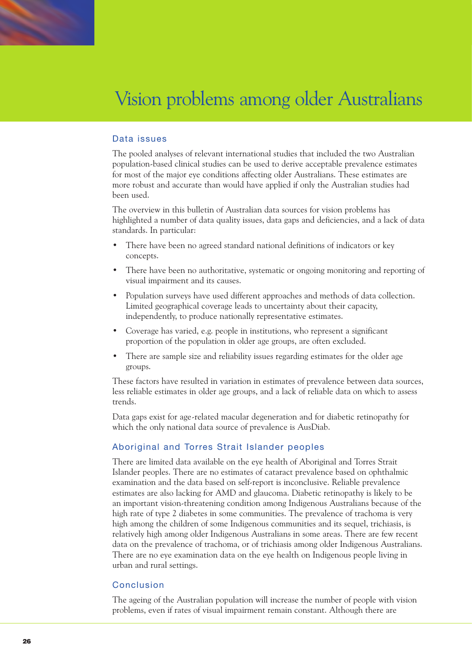

## Data issues

The pooled analyses of relevant international studies that included the two Australian population-based clinical studies can be used to derive acceptable prevalence estimates for most of the major eye conditions affecting older Australians. These estimates are more robust and accurate than would have applied if only the Australian studies had been used.

The overview in this bulletin of Australian data sources for vision problems has highlighted a number of data quality issues, data gaps and deficiencies, and a lack of data standards. In particular:

- There have been no agreed standard national definitions of indicators or key concepts.
- There have been no authoritative, systematic or ongoing monitoring and reporting of visual impairment and its causes.
- Population surveys have used different approaches and methods of data collection. Limited geographical coverage leads to uncertainty about their capacity, independently, to produce nationally representative estimates.
- Coverage has varied, e.g. people in institutions, who represent a significant proportion of the population in older age groups, are often excluded.
- There are sample size and reliability issues regarding estimates for the older age groups.

These factors have resulted in variation in estimates of prevalence between data sources, less reliable estimates in older age groups, and a lack of reliable data on which to assess trends.

Data gaps exist for age-related macular degeneration and for diabetic retinopathy for which the only national data source of prevalence is AusDiab.

## Aboriginal and Torres Strait Islander peoples

There are limited data available on the eye health of Aboriginal and Torres Strait Islander peoples. There are no estimates of cataract prevalence based on ophthalmic examination and the data based on self-report is inconclusive. Reliable prevalence estimates are also lacking for AMD and glaucoma. Diabetic retinopathy is likely to be an important vision-threatening condition among Indigenous Australians because of the high rate of type 2 diabetes in some communities. The prevalence of trachoma is very high among the children of some Indigenous communities and its sequel, trichiasis, is relatively high among older Indigenous Australians in some areas. There are few recent data on the prevalence of trachoma, or of trichiasis among older Indigenous Australians. There are no eye examination data on the eye health on Indigenous people living in urban and rural settings.

## Conclusion

The ageing of the Australian population will increase the number of people with vision problems, even if rates of visual impairment remain constant. Although there are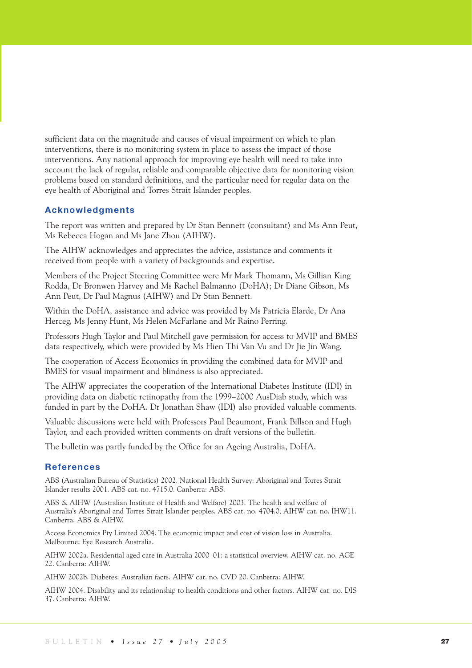sufficient data on the magnitude and causes of visual impairment on which to plan interventions, there is no monitoring system in place to assess the impact of those interventions. Any national approach for improving eye health will need to take into account the lack of regular, reliable and comparable objective data for monitoring vision problems based on standard definitions, and the particular need for regular data on the eye health of Aboriginal and Torres Strait Islander peoples.

## **Acknowledgments**

The report was written and prepared by Dr Stan Bennett (consultant) and Ms Ann Peut, Ms Rebecca Hogan and Ms Jane Zhou (AIHW).

The AIHW acknowledges and appreciates the advice, assistance and comments it received from people with a variety of backgrounds and expertise.

Members of the Project Steering Committee were Mr Mark Thomann, Ms Gillian King Rodda, Dr Bronwen Harvey and Ms Rachel Balmanno (DoHA); Dr Diane Gibson, Ms Ann Peut, Dr Paul Magnus (AIHW) and Dr Stan Bennett.

Within the DoHA, assistance and advice was provided by Ms Patricia Elarde, Dr Ana Herceg, Ms Jenny Hunt, Ms Helen McFarlane and Mr Raino Perring.

Professors Hugh Taylor and Paul Mitchell gave permission for access to MVIP and BMES data respectively, which were provided by Ms Hien Thi Van Vu and Dr Jie Jin Wang.

The cooperation of Access Economics in providing the combined data for MVIP and BMES for visual impairment and blindness is also appreciated.

The AIHW appreciates the cooperation of the International Diabetes Institute (IDI) in providing data on diabetic retinopathy from the 1999–2000 AusDiab study, which was funded in part by the DoHA. Dr Jonathan Shaw (IDI) also provided valuable comments.

Valuable discussions were held with Professors Paul Beaumont, Frank Billson and Hugh Taylor, and each provided written comments on draft versions of the bulletin.

The bulletin was partly funded by the Office for an Ageing Australia, DoHA.

## **References**

ABS (Australian Bureau of Statistics) 2002. National Health Survey: Aboriginal and Torres Strait Islander results 2001. ABS cat. no. 4715.0. Canberra: ABS.

ABS & AIHW (Australian Institute of Health and Welfare) 2003. The health and welfare of Australia's Aboriginal and Torres Strait Islander peoples. ABS cat. no. 4704.0, AIHW cat. no. IHW11. Canberra: ABS & AIHW.

Access Economics Pty Limited 2004. The economic impact and cost of vision loss in Australia. Melbourne: Eye Research Australia.

AIHW 2002a. Residential aged care in Australia 2000–01: a statistical overview. AIHW cat. no. AGE 22. Canberra: AIHW.

AIHW 2002b. Diabetes: Australian facts. AIHW cat. no. CVD 20. Canberra: AIHW.

AIHW 2004. Disability and its relationship to health conditions and other factors. AIHW cat. no. DIS 37. Canberra: AIHW.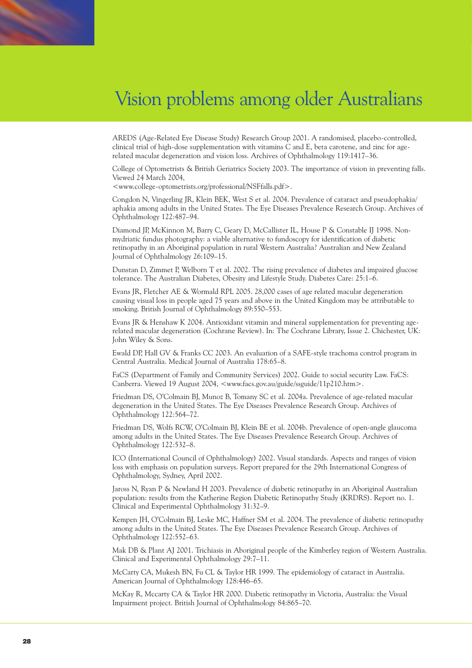AREDS (Age-Related Eye Disease Study) Research Group 2001. A randomised, placebo-controlled, clinical trial of high-dose supplementation with vitamins C and E, beta carotene, and zinc for agerelated macular degeneration and vision loss. Archives of Ophthalmology 119:1417–36.

College of Optometrists & British Geriatrics Society 2003. The importance of vision in preventing falls. Viewed 24 March 2004,

<www.college-optometrists.org/professional/NSFfalls.pdf>.

Congdon N, Vingerling JR, Klein BEK, West S et al. 2004. Prevalence of cataract and pseudophakia/ aphakia among adults in the United States. The Eye Diseases Prevalence Research Group. Archives of Ophthalmology 122:487–94.

Diamond JP, McKinnon M, Barry C, Geary D, McCallister IL, House P & Constable IJ 1998. Nonmydriatic fundus photography: a viable alternative to fundoscopy for identification of diabetic retinopathy in an Aboriginal population in rural Western Australia? Australian and New Zealand Journal of Ophthalmology 26:109–15.

Dunstan D, Zimmet P, Welborn T et al. 2002. The rising prevalence of diabetes and impaired glucose tolerance. The Australian Diabetes, Obesity and Lifestyle Study. Diabetes Care: 25:1–6.

Evans JR, Fletcher AE & Wormald RPL 2005. 28,000 cases of age related macular degeneration causing visual loss in people aged 75 years and above in the United Kingdom may be attributable to smoking. British Journal of Ophthalmology 89:550–553.

Evans JR & Henshaw K 2004. Antioxidant vitamin and mineral supplementation for preventing agerelated macular degeneration (Cochrane Review). In: The Cochrane Library, Issue 2. Chichester, UK: John Wiley & Sons.

Ewald DP, Hall GV & Franks CC 2003. An evaluation of a SAFE-style trachoma control program in Central Australia. Medical Journal of Australia 178:65–8.

FaCS (Department of Family and Community Services) 2002. Guide to social security Law. FaCS: Canberra. Viewed 19 August 2004, <www.facs.gov.au/guide/ssguide/11p210.htm>.

Friedman DS, O'Colmain BJ, Munoz B, Tomany SC et al. 2004a. Prevalence of age-related macular degeneration in the United States. The Eye Diseases Prevalence Research Group. Archives of Ophthalmology 122:564–72.

Friedman DS, Wolfs RCW, O'Colmain BJ, Klein BE et al. 2004b. Prevalence of open-angle glaucoma among adults in the United States. The Eye Diseases Prevalence Research Group. Archives of Ophthalmology 122:532–8.

ICO (International Council of Ophthalmology) 2002. Visual standards. Aspects and ranges of vision loss with emphasis on population surveys. Report prepared for the 29th International Congress of Ophthalmology, Sydney, April 2002.

Jaross N, Ryan P & Newland H 2003. Prevalence of diabetic retinopathy in an Aboriginal Australian population: results from the Katherine Region Diabetic Retinopathy Study (KRDRS). Report no. 1. Clinical and Experimental Ophthalmology 31:32–9.

Kempen JH, O'Colmain BJ, Leske MC, Haffner SM et al. 2004. The prevalence of diabetic retinopathy among adults in the United States. The Eye Diseases Prevalence Research Group. Archives of Ophthalmology 122:552–63.

Mak DB & Plant AJ 2001. Trichiasis in Aboriginal people of the Kimberley region of Western Australia. Clinical and Experimental Ophthalmology 29:7–11.

McCarty CA, Mukesh BN, Fu CL & Taylor HR 1999. The epidemiology of cataract in Australia. American Journal of Ophthalmology 128:446–65.

McKay R, Mccarty CA & Taylor HR 2000. Diabetic retinopathy in Victoria, Australia: the Visual Impairment project. British Journal of Ophthalmology 84:865–70.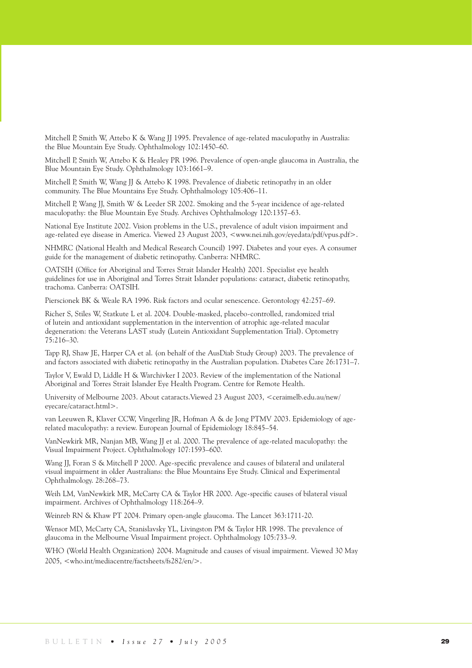Mitchell P, Smith W, Attebo K & Wang JJ 1995. Prevalence of age-related maculopathy in Australia: the Blue Mountain Eye Study. Ophthalmology 102:1450–60.

Mitchell P, Smith W, Attebo K & Healey PR 1996. Prevalence of open-angle glaucoma in Australia, the Blue Mountain Eye Study. Ophthalmology 103:1661–9.

Mitchell P, Smith W, Wang JJ & Attebo K 1998. Prevalence of diabetic retinopathy in an older community. The Blue Mountains Eye Study. Ophthalmology 105:406–11.

Mitchell P, Wang JJ, Smith W & Leeder SR 2002. Smoking and the 5-year incidence of age-related maculopathy: the Blue Mountain Eye Study. Archives Ophthalmology 120:1357–63.

National Eye Institute 2002. Vision problems in the U.S., prevalence of adult vision impairment and age-related eye disease in America. Viewed 23 August 2003, <www.nei.nih.gov/eyedata/pdf/vpus.pdf>.

NHMRC (National Health and Medical Research Council) 1997. Diabetes and your eyes. A consumer guide for the management of diabetic retinopathy. Canberra: NHMRC.

OATSIH (Office for Aboriginal and Torres Strait Islander Health) 2001. Specialist eye health guidelines for use in Aboriginal and Torres Strait Islander populations: cataract, diabetic retinopathy, trachoma. Canberra: OATSIH.

Pierscionek BK & Weale RA 1996. Risk factors and ocular senescence. Gerontology 42:257–69.

Richer S, Stiles W, Statkute L et al. 2004. Double-masked, placebo-controlled, randomized trial of lutein and antioxidant supplementation in the intervention of atrophic age-related macular degeneration: the Veterans LAST study (Lutein Antioxidant Supplementation Trial). Optometry 75:216–30.

Tapp RJ, Shaw JE, Harper CA et al. (on behalf of the AusDiab Study Group) 2003. The prevalence of and factors associated with diabetic retinopathy in the Australian population. Diabetes Care 26:1731–7.

Taylor V, Ewald D, Liddle H & Warchivker I 2003. Review of the implementation of the National Aboriginal and Torres Strait Islander Eye Health Program. Centre for Remote Health.

University of Melbourne 2003. About cataracts.Viewed 23 August 2003, <ceraimelb.edu.au/new/ eyecare/cataract.html>.

van Leeuwen R, Klaver CCW, Vingerling JR, Hofman A & de Jong PTMV 2003. Epidemiology of agerelated maculopathy: a review. European Journal of Epidemiology 18:845–54.

VanNewkirk MR, Nanjan MB, Wang JJ et al. 2000. The prevalence of age-related maculopathy: the Visual Impairment Project. Ophthalmology 107:1593–600.

Wang JJ, Foran S & Mitchell P 2000. Age-specific prevalence and causes of bilateral and unilateral visual impairment in older Australians: the Blue Mountains Eye Study. Clinical and Experimental Ophthalmology. 28:268–73.

Weih LM, VanNewkirk MR, McCarty CA & Taylor HR 2000. Age-specific causes of bilateral visual impairment. Archives of Ophthalmology 118:264–9.

Weinreb RN & Khaw PT 2004. Primary open-angle glaucoma. The Lancet 363:1711-20.

Wensor MD, McCarty CA, Stanislavsky YL, Livingston PM & Taylor HR 1998. The prevalence of glaucoma in the Melbourne Visual Impairment project. Ophthalmology 105:733–9.

WHO (World Health Organization) 2004. Magnitude and causes of visual impairment. Viewed 30 May 2005, <who.int/mediacentre/factsheets/fs282/en/>.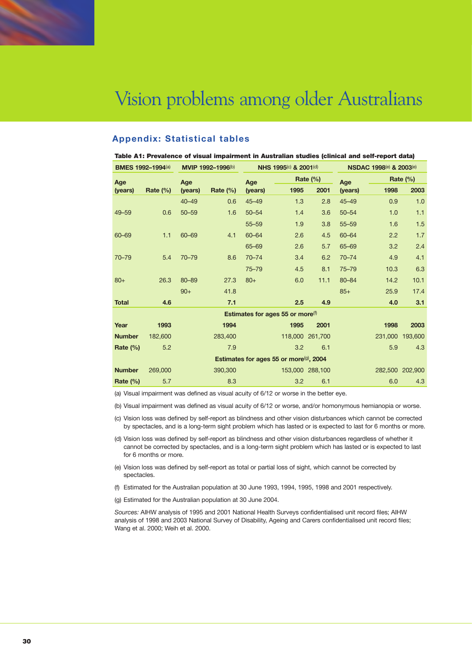

## **Appendix: Statistical tables**

| Table A1: Prevalence of visual impairment in Australian studies (clinical and self-report data) |                          |           |                   |           |                                     |                 |           |                         |             |
|-------------------------------------------------------------------------------------------------|--------------------------|-----------|-------------------|-----------|-------------------------------------|-----------------|-----------|-------------------------|-------------|
|                                                                                                 | <b>BMES 1992-1994(a)</b> |           | MVIP 1992-1996(b) |           | NHS 1995(c) & 2001(d)               |                 |           | NSDAC 1998(e) & 2003(e) |             |
| Age                                                                                             |                          | Age       |                   | Age       |                                     | Rate $(\%)$     | Age       |                         | Rate $(\%)$ |
| (years)                                                                                         | Rate $(\%)$              | (years)   | Rate $(\%)$       | (years)   | 1995                                | 2001            | (years)   | 1998                    | 2003        |
|                                                                                                 |                          | $40 - 49$ | 0.6               | $45 - 49$ | 1.3                                 | 2.8             | $45 - 49$ | 0.9                     | 1.0         |
| $49 - 59$                                                                                       | 0.6                      | $50 - 59$ | 1.6               | $50 - 54$ | 1.4                                 | 3.6             | $50 - 54$ | 1.0                     | 1.1         |
|                                                                                                 |                          |           |                   | $55 - 59$ | 1.9                                 | 3.8             | $55 - 59$ | 1.6                     | 1.5         |
| 60-69                                                                                           | 1.1                      | 60-69     | 4.1               | 60-64     | 2.6                                 | 4.5             | $60 - 64$ | 2.2                     | 1.7         |
|                                                                                                 |                          |           |                   | 65-69     | 2.6                                 | 5.7             | 65-69     | 3.2                     | 2.4         |
| $70 - 79$                                                                                       | 5.4                      | $70 - 79$ | 8.6               | $70 - 74$ | 3.4                                 | 6.2             | $70 - 74$ | 4.9                     | 4.1         |
|                                                                                                 |                          |           |                   | $75 - 79$ | 4.5                                 | 8.1             | $75 - 79$ | 10.3                    | 6.3         |
| $80+$                                                                                           | 26.3                     | 80-89     | 27.3              | $80+$     | 6.0                                 | 11.1            | $80 - 84$ | 14.2                    | 10.1        |
|                                                                                                 |                          | $90+$     | 41.8              |           |                                     |                 | $85+$     | 25.9                    | 17.4        |
| <b>Total</b>                                                                                    | 4.6                      |           | 7.1               |           | 2.5                                 | 4.9             |           | 4.0                     | 3.1         |
|                                                                                                 |                          |           |                   |           | Estimates for ages 55 or more $(f)$ |                 |           |                         |             |
| Year                                                                                            | 1993                     |           | 1994              |           | 1995                                | 2001            |           | 1998                    | 2003        |
| <b>Number</b>                                                                                   | 182,600                  |           | 283,400           |           |                                     | 118,000 261,700 |           | 231,000                 | 193,600     |
| Rate $(\%)$                                                                                     | 5.2                      |           | 7.9               |           | 3.2                                 | 6.1             |           | 5.9                     | 4.3         |
| Estimates for ages 55 or more <sup>(g)</sup> , 2004                                             |                          |           |                   |           |                                     |                 |           |                         |             |
| <b>Number</b>                                                                                   | 269,000                  |           | 390,300           |           |                                     | 153,000 288,100 |           | 282,500 202,900         |             |
| Rate $(\%)$                                                                                     | 5.7                      |           | 8.3               |           | 3.2                                 | 6.1             |           | 6.0                     | 4.3         |

(a) Visual impairment was defined as visual acuity of 6/12 or worse in the better eye.

(b) Visual impairment was defined as visual acuity of 6/12 or worse, and/or homonymous hemianopia or worse.

(c) Vision loss was defined by self-report as blindness and other vision disturbances which cannot be corrected by spectacles, and is a long-term sight problem which has lasted or is expected to last for 6 months or more.

(d) Vision loss was defined by self-report as blindness and other vision disturbances regardless of whether it cannot be corrected by spectacles, and is a long-term sight problem which has lasted or is expected to last for 6 months or more.

(e) Vision loss was defined by self-report as total or partial loss of sight, which cannot be corrected by spectacles.

(f) Estimated for the Australian population at 30 June 1993, 1994, 1995, 1998 and 2001 respectively.

(g) Estimated for the Australian population at 30 June 2004.

*Sources:* AIHW analysis of 1995 and 2001 National Health Surveys confidentialised unit record files; AIHW analysis of 1998 and 2003 National Survey of Disability, Ageing and Carers confidentialised unit record files; Wang et al. 2000; Weih et al. 2000.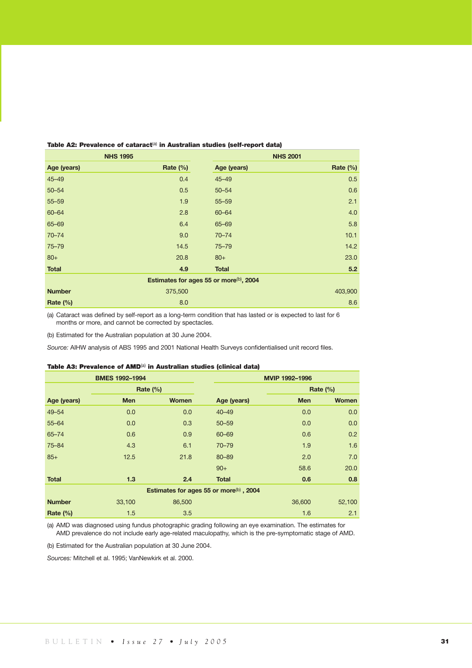| <b>NHS 1995</b>                                     |          |              | <b>NHS 2001</b> |  |
|-----------------------------------------------------|----------|--------------|-----------------|--|
| Age (years)                                         | Rate (%) | Age (years)  | Rate (%)        |  |
| $45 - 49$                                           | 0.4      | $45 - 49$    | 0.5             |  |
| $50 - 54$                                           | 0.5      | $50 - 54$    | 0.6             |  |
| $55 - 59$                                           | 1.9      | $55 - 59$    | 2.1             |  |
| 60-64                                               | 2.8      | 60-64        | 4.0             |  |
| 65-69                                               | 6.4      | 65-69        | 5.8             |  |
| $70 - 74$                                           | 9.0      | $70 - 74$    | 10.1            |  |
| $75 - 79$                                           | 14.5     | $75 - 79$    | 14.2            |  |
| $80+$                                               | 20.8     | $80+$        | 23.0            |  |
| <b>Total</b>                                        | 4.9      | <b>Total</b> | 5.2             |  |
| Estimates for ages 55 or more <sup>(b)</sup> , 2004 |          |              |                 |  |
| <b>Number</b>                                       | 375,500  |              | 403,900         |  |
| Rate $(\%)$                                         | 8.0      |              | 8.6             |  |

#### Table A2: Prevalence of cataract<sup>(a)</sup> in Australian studies (self-report data)

(a) Cataract was defined by self-report as a long-term condition that has lasted or is expected to last for 6 months or more, and cannot be corrected by spectacles.

(b) Estimated for the Australian population at 30 June 2004.

*Source:* AIHW analysis of ABS 1995 and 2001 National Health Surveys confidentialised unit record files.

#### Table A3: Prevalence of AMD<sup>(a)</sup> in Australian studies (clinical data)

| <b>BMES 1992-1994</b><br>MVIP 1992-1996             |            |              |              |            |              |
|-----------------------------------------------------|------------|--------------|--------------|------------|--------------|
|                                                     |            | Rate $(\%)$  |              |            | Rate $(\%)$  |
| Age (years)                                         | <b>Men</b> | <b>Women</b> | Age (years)  | <b>Men</b> | <b>Women</b> |
| $49 - 54$                                           | 0.0        | 0.0          | $40 - 49$    | 0.0        | 0.0          |
| $55 - 64$                                           | 0.0        | 0.3          | $50 - 59$    | 0.0        | 0.0          |
| $65 - 74$                                           | 0.6        | 0.9          | 60-69        | 0.6        | 0.2          |
| $75 - 84$                                           | 4.3        | 6.1          | $70 - 79$    | 1.9        | 1.6          |
| $85+$                                               | 12.5       | 21.8         | $80 - 89$    | 2.0        | 7.0          |
|                                                     |            |              | $90+$        | 58.6       | 20.0         |
| <b>Total</b>                                        | 1.3        | 2.4          | <b>Total</b> | 0.6        | 0.8          |
| Estimates for ages 55 or more <sup>(b)</sup> , 2004 |            |              |              |            |              |
| <b>Number</b>                                       | 33,100     | 86,500       |              | 36,600     | 52,100       |
| Rate (%)                                            | 1.5        | 3.5          |              | 1.6        | 2.1          |

(a) AMD was diagnosed using fundus photographic grading following an eye examination. The estimates for AMD prevalence do not include early age-related maculopathy, which is the pre-symptomatic stage of AMD.

(b) Estimated for the Australian population at 30 June 2004.

*Sources:* Mitchell et al. 1995; VanNewkirk et al. 2000.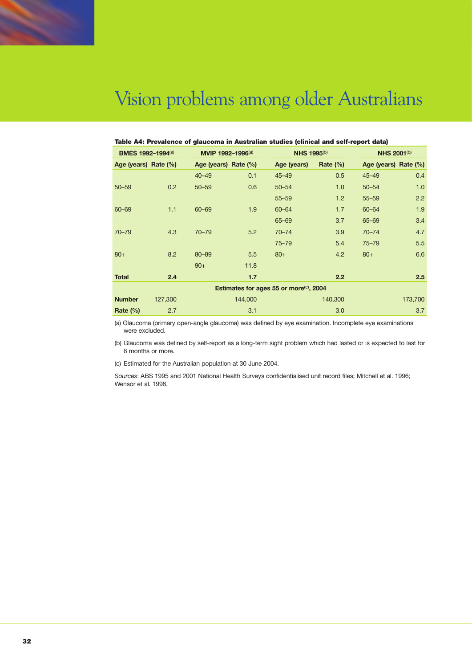

| Table A4: Prevalence of glaucoma in Australian studies (clinical and self-report data) |         |                      |         |                    |              |                      |         |
|----------------------------------------------------------------------------------------|---------|----------------------|---------|--------------------|--------------|----------------------|---------|
| <b>BMES 1992-1994(a)</b>                                                               |         | MVIP 1992-1996(a)    |         | <b>NHS 1995(b)</b> |              | <b>NHS 2001(b)</b>   |         |
| Age (years) Rate (%)                                                                   |         | Age (years) Rate (%) |         | Age (years)        | Rate $(\% )$ | Age (years) Rate (%) |         |
|                                                                                        |         | $40 - 49$            | 0.1     | $45 - 49$          | 0.5          | $45 - 49$            | 0.4     |
| $50 - 59$                                                                              | 0.2     | $50 - 59$            | 0.6     | $50 - 54$          | 1.0          | $50 - 54$            | 1.0     |
|                                                                                        |         |                      |         | $55 - 59$          | 1.2          | $55 - 59$            | 2.2     |
| $60 - 69$                                                                              | 1.1     | 60-69                | 1.9     | 60-64              | 1.7          | 60-64                | 1.9     |
|                                                                                        |         |                      |         | $65 - 69$          | 3.7          | 65-69                | 3.4     |
| $70 - 79$                                                                              | 4.3     | $70 - 79$            | 5.2     | $70 - 74$          | 3.9          | $70 - 74$            | 4.7     |
|                                                                                        |         |                      |         | $75 - 79$          | 5.4          | $75 - 79$            | 5.5     |
| $80+$                                                                                  | 8.2     | 80-89                | 5.5     | $80+$              | 4.2          | $80+$                | 6.6     |
|                                                                                        |         | $90+$                | 11.8    |                    |              |                      |         |
| <b>Total</b>                                                                           | 2.4     |                      | 1.7     |                    | 2.2          |                      | 2.5     |
| Estimates for ages 55 or more <sup>(c)</sup> , 2004                                    |         |                      |         |                    |              |                      |         |
| <b>Number</b>                                                                          | 127,300 |                      | 144,000 |                    | 140,300      |                      | 173,700 |
| Rate $(\%)$                                                                            | 2.7     |                      | 3.1     |                    | 3.0          |                      | 3.7     |

(a) Glaucoma (primary open-angle glaucoma) was defined by eye examination. Incomplete eye examinations were excluded.

(b) Glaucoma was defined by self-report as a long-term sight problem which had lasted or is expected to last for 6 months or more.

(c) Estimated for the Australian population at 30 June 2004.

*Sources*: ABS 1995 and 2001 National Health Surveys confidentialised unit record files; Mitchell et al. 1996; Wensor et al. 1998.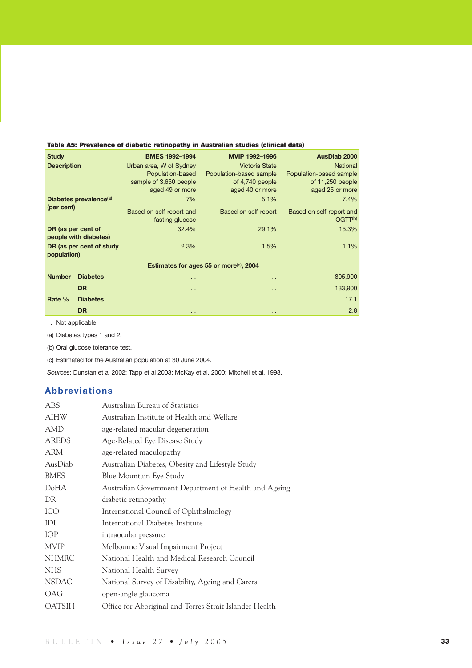|  |  |  |  |  | Table A5: Prevalence of diabetic retinopathy in Australian studies (clinical data) |  |  |  |
|--|--|--|--|--|------------------------------------------------------------------------------------|--|--|--|
|--|--|--|--|--|------------------------------------------------------------------------------------|--|--|--|

| <b>Study</b>       |                                    | <b>BMES 1992-1994</b>                                                                    | MVIP 1992-1996                                                                         | <b>AusDiab 2000</b>                                                               |
|--------------------|------------------------------------|------------------------------------------------------------------------------------------|----------------------------------------------------------------------------------------|-----------------------------------------------------------------------------------|
| <b>Description</b> |                                    | Urban area, W of Sydney<br>Population-based<br>sample of 3,650 people<br>aged 49 or more | <b>Victoria State</b><br>Population-based sample<br>of 4,740 people<br>aged 40 or more | <b>National</b><br>Population-based sample<br>of 11,250 people<br>aged 25 or more |
|                    | Diabetes prevalence <sup>(a)</sup> | 7%                                                                                       | 5.1%                                                                                   | 7.4%                                                                              |
| (per cent)         |                                    | Based on self-report and<br>fasting glucose                                              | Based on self-report                                                                   | Based on self-report and<br>OGTT <sup>(b)</sup>                                   |
| DR (as per cent of | people with diabetes)              | 32.4%                                                                                    | 29.1%                                                                                  | 15.3%                                                                             |
| population)        | DR (as per cent of study           | 2.3%                                                                                     | 1.5%                                                                                   | 1.1%                                                                              |
|                    |                                    |                                                                                          | Estimates for ages 55 or more <sup>(c)</sup> , 2004                                    |                                                                                   |
| <b>Number</b>      | <b>Diabetes</b>                    | $\sim$                                                                                   | $\ddot{\phantom{1}}$                                                                   | 805,900                                                                           |
|                    | <b>DR</b>                          | $\sim$ $\sim$                                                                            | $\ddot{\phantom{1}}$                                                                   | 133,900                                                                           |
| Rate %             | <b>Diabetes</b>                    | $\sim$ $\sim$                                                                            | $\ddot{\phantom{1}}$                                                                   | 17.1                                                                              |
|                    | <b>DR</b>                          | $\sim$ $\sim$                                                                            | $\ddot{\phantom{1}}$                                                                   | 2.8                                                                               |

. . Not applicable.

(a) Diabetes types 1 and 2.

(b) Oral glucose tolerance test.

(c) Estimated for the Australian population at 30 June 2004.

*Sources*: Dunstan et al 2002; Tapp et al 2003; McKay et al. 2000; Mitchell et al. 1998.

## **Abbreviations**

| ABS           | Australian Bureau of Statistics                         |
|---------------|---------------------------------------------------------|
| <b>AIHW</b>   | Australian Institute of Health and Welfare              |
| AMD           | age-related macular degeneration                        |
| <b>AREDS</b>  | Age-Related Eye Disease Study                           |
| ARM           | age-related maculopathy                                 |
| AusDiab       | Australian Diabetes, Obesity and Lifestyle Study        |
| <b>BMES</b>   | Blue Mountain Eye Study                                 |
| DoHA          | Australian Government Department of Health and Ageing   |
| DR            | diabetic retinopathy                                    |
| ICO           | International Council of Ophthalmology                  |
| IDI           | International Diabetes Institute                        |
| <b>IOP</b>    | intraocular pressure                                    |
| <b>MVIP</b>   | Melbourne Visual Impairment Project                     |
| <b>NHMRC</b>  | National Health and Medical Research Council            |
| <b>NHS</b>    | National Health Survey                                  |
| <b>NSDAC</b>  | National Survey of Disability, Ageing and Carers        |
| OAG           | open-angle glaucoma                                     |
| <b>OATSIH</b> | Office for Aboriginal and Torres Strait Islander Health |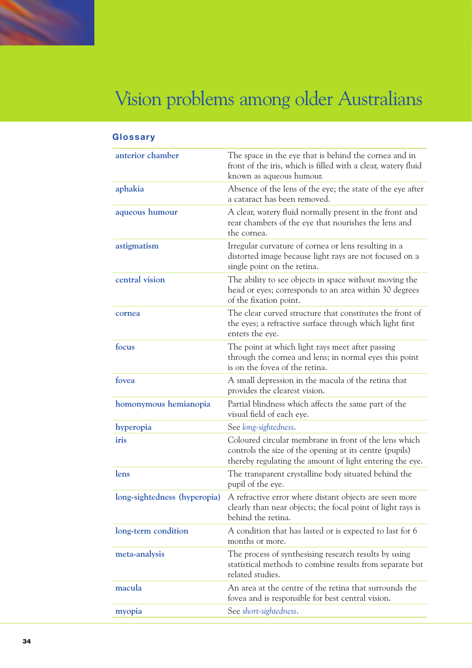| Glossary                     |                                                                                                                                                                              |
|------------------------------|------------------------------------------------------------------------------------------------------------------------------------------------------------------------------|
| anterior chamber             | The space in the eye that is behind the cornea and in<br>front of the iris, which is filled with a clear, watery fluid<br>known as aqueous humour.                           |
| aphakia                      | Absence of the lens of the eye; the state of the eye after<br>a cataract has been removed.                                                                                   |
| aqueous humour               | A clear, watery fluid normally present in the front and<br>rear chambers of the eye that nourishes the lens and<br>the cornea.                                               |
| astigmatism                  | Irregular curvature of cornea or lens resulting in a<br>distorted image because light rays are not focused on a<br>single point on the retina.                               |
| central vision               | The ability to see objects in space without moving the<br>head or eyes; corresponds to an area within 30 degrees<br>of the fixation point.                                   |
| cornea                       | The clear curved structure that constitutes the front of<br>the eyes; a refractive surface through which light first<br>enters the eye.                                      |
| focus                        | The point at which light rays meet after passing<br>through the cornea and lens; in normal eyes this point<br>is on the fovea of the retina.                                 |
| fovea                        | A small depression in the macula of the retina that<br>provides the clearest vision.                                                                                         |
| homonymous hemianopia        | Partial blindness which affects the same part of the<br>visual field of each eye.                                                                                            |
| hyperopia                    | See long-sightedness.                                                                                                                                                        |
| iris                         | Coloured circular membrane in front of the lens which<br>controls the size of the opening at its centre (pupils)<br>thereby regulating the amount of light entering the eye. |
| lens                         | The transparent crystalline body situated behind the<br>pupil of the eye.                                                                                                    |
| long-sightedness (hyperopia) | A refractive error where distant objects are seen more<br>clearly than near objects; the focal point of light rays is<br>behind the retina.                                  |
| long-term condition          | A condition that has lasted or is expected to last for 6<br>months or more.                                                                                                  |
| meta-analysis                | The process of synthesising research results by using<br>statistical methods to combine results from separate but<br>related studies.                                        |
| macula                       | An area at the centre of the retina that surrounds the<br>fovea and is responsible for best central vision.                                                                  |
| myopia                       | See short-sightedness.                                                                                                                                                       |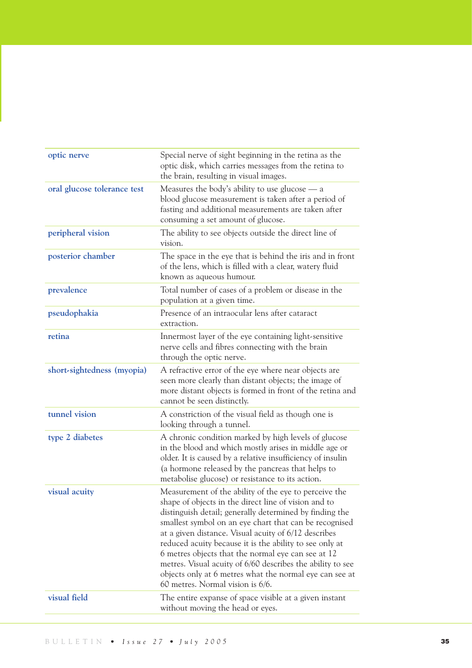| optic nerve                 | Special nerve of sight beginning in the retina as the<br>optic disk, which carries messages from the retina to<br>the brain, resulting in visual images.                                                                                                                                                                                                                                                                                                                                                                                                                 |
|-----------------------------|--------------------------------------------------------------------------------------------------------------------------------------------------------------------------------------------------------------------------------------------------------------------------------------------------------------------------------------------------------------------------------------------------------------------------------------------------------------------------------------------------------------------------------------------------------------------------|
| oral glucose tolerance test | Measures the body's ability to use glucose — a<br>blood glucose measurement is taken after a period of<br>fasting and additional measurements are taken after<br>consuming a set amount of glucose.                                                                                                                                                                                                                                                                                                                                                                      |
| peripheral vision           | The ability to see objects outside the direct line of<br>vision.                                                                                                                                                                                                                                                                                                                                                                                                                                                                                                         |
| posterior chamber           | The space in the eye that is behind the iris and in front<br>of the lens, which is filled with a clear, watery fluid<br>known as aqueous humour.                                                                                                                                                                                                                                                                                                                                                                                                                         |
| prevalence                  | Total number of cases of a problem or disease in the<br>population at a given time.                                                                                                                                                                                                                                                                                                                                                                                                                                                                                      |
| pseudophakia                | Presence of an intraocular lens after cataract<br>extraction.                                                                                                                                                                                                                                                                                                                                                                                                                                                                                                            |
| retina                      | Innermost layer of the eye containing light-sensitive<br>nerve cells and fibres connecting with the brain<br>through the optic nerve.                                                                                                                                                                                                                                                                                                                                                                                                                                    |
| short-sightedness (myopia)  | A refractive error of the eye where near objects are<br>seen more clearly than distant objects; the image of<br>more distant objects is formed in front of the retina and<br>cannot be seen distinctly.                                                                                                                                                                                                                                                                                                                                                                  |
| tunnel vision               | A constriction of the visual field as though one is<br>looking through a tunnel.                                                                                                                                                                                                                                                                                                                                                                                                                                                                                         |
| type 2 diabetes             | A chronic condition marked by high levels of glucose<br>in the blood and which mostly arises in middle age or<br>older. It is caused by a relative insufficiency of insulin<br>(a hormone released by the pancreas that helps to<br>metabolise glucose) or resistance to its action.                                                                                                                                                                                                                                                                                     |
| visual acuity               | Measurement of the ability of the eye to perceive the<br>shape of objects in the direct line of vision and to<br>distinguish detail; generally determined by finding the<br>smallest symbol on an eye chart that can be recognised<br>at a given distance. Visual acuity of 6/12 describes<br>reduced acuity because it is the ability to see only at<br>6 metres objects that the normal eye can see at 12<br>metres. Visual acuity of 6/60 describes the ability to see<br>objects only at 6 metres what the normal eye can see at<br>60 metres. Normal vision is 6/6. |
| visual field                | The entire expanse of space visible at a given instant<br>without moving the head or eyes.                                                                                                                                                                                                                                                                                                                                                                                                                                                                               |